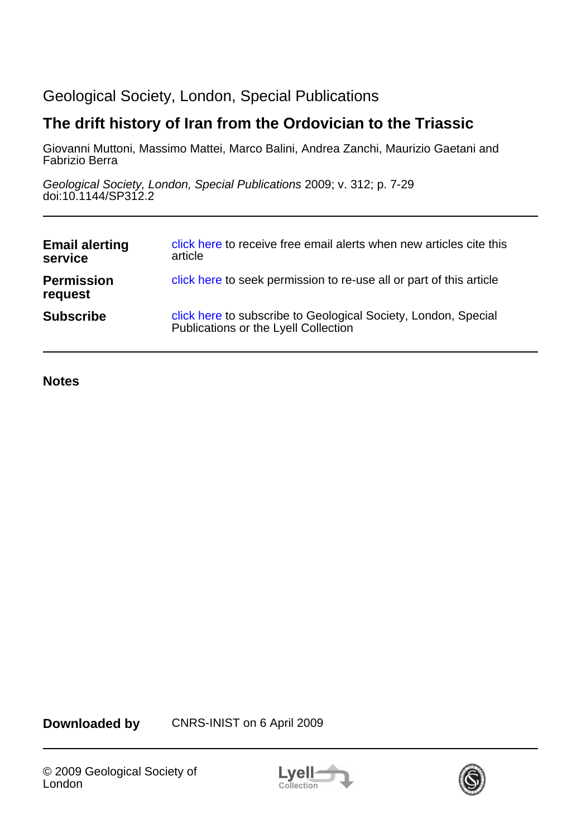# Geological Society, London, Special Publications

# **The drift history of Iran from the Ordovician to the Triassic**

Fabrizio Berra Giovanni Muttoni, Massimo Mattei, Marco Balini, Andrea Zanchi, Maurizio Gaetani and

doi:10.1144/SP312.2 Geological Society, London, Special Publications 2009; v. 312; p. 7-29

| <b>Email alerting</b><br>service | click here to receive free email alerts when new articles cite this<br>article                         |
|----------------------------------|--------------------------------------------------------------------------------------------------------|
| <b>Permission</b><br>request     | click here to seek permission to re-use all or part of this article                                    |
| <b>Subscribe</b>                 | click here to subscribe to Geological Society, London, Special<br>Publications or the Lyell Collection |

**Notes**

**Downloaded by** CNRS-INIST on 6 April 2009



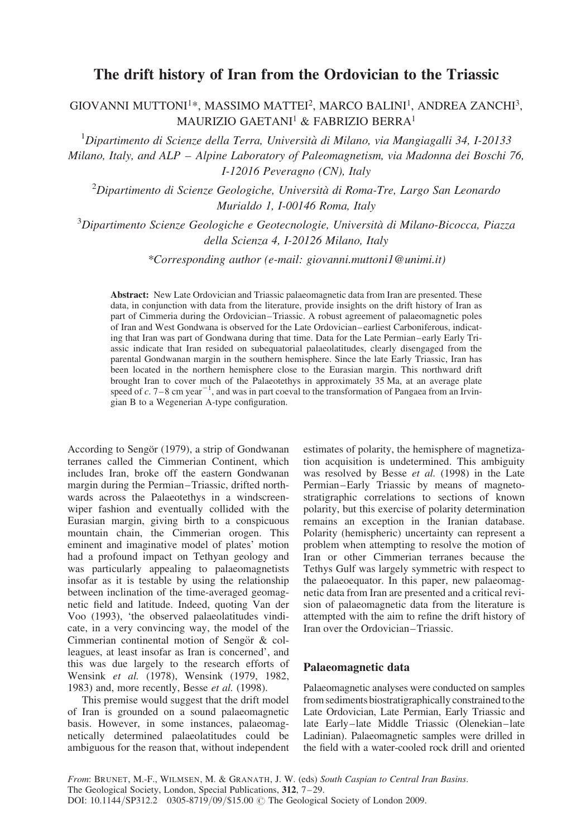# The drift history of Iran from the Ordovician to the Triassic

# GIOVANNI MUTTONI1\*, MASSIMO MATTEI2, MARCO BALINI1, ANDREA ZANCHI3, MAURIZIO GAETANI1 & FABRIZIO BERRA1

 $1$ Dipartimento di Scienze della Terra, Università di Milano, via Mangiagalli 34, I-20133 Milano, Italy, and ALP – Alpine Laboratory of Paleomagnetism, via Madonna dei Boschi 76, I-12016 Peveragno (CN), Italy

 $^{2}$ Dipartimento di Scienze Geologiche, Università di Roma-Tre, Largo San Leonardo Murialdo 1, I-00146 Roma, Italy

 ${}^{3}$ Dipartimento Scienze Geologiche e Geotecnologie, Università di Milano-Bicocca, Piazza della Scienza 4, I-20126 Milano, Italy

\*Corresponding author (e-mail: giovanni.muttoni1@unimi.it)

Abstract: New Late Ordovician and Triassic palaeomagnetic data from Iran are presented. These data, in conjunction with data from the literature, provide insights on the drift history of Iran as part of Cimmeria during the Ordovician–Triassic. A robust agreement of palaeomagnetic poles of Iran and West Gondwana is observed for the Late Ordovician–earliest Carboniferous, indicating that Iran was part of Gondwana during that time. Data for the Late Permian–early Early Triassic indicate that Iran resided on subequatorial palaeolatitudes, clearly disengaged from the parental Gondwanan margin in the southern hemisphere. Since the late Early Triassic, Iran has been located in the northern hemisphere close to the Eurasian margin. This northward drift brought Iran to cover much of the Palaeotethys in approximately 35 Ma, at an average plate speed of  $c$ . 7–8 cm year<sup>-1</sup>, and was in part coeval to the transformation of Pangaea from an Irvingian B to a Wegenerian A-type configuration.

According to Sengör (1979), a strip of Gondwanan terranes called the Cimmerian Continent, which includes Iran, broke off the eastern Gondwanan margin during the Permian–Triassic, drifted northwards across the Palaeotethys in a windscreenwiper fashion and eventually collided with the Eurasian margin, giving birth to a conspicuous mountain chain, the Cimmerian orogen. This eminent and imaginative model of plates' motion had a profound impact on Tethyan geology and was particularly appealing to palaeomagnetists insofar as it is testable by using the relationship between inclination of the time-averaged geomagnetic field and latitude. Indeed, quoting Van der Voo (1993), 'the observed palaeolatitudes vindicate, in a very convincing way, the model of the Cimmerian continental motion of Sengör & colleagues, at least insofar as Iran is concerned', and this was due largely to the research efforts of Wensink et al. (1978), Wensink (1979, 1982, 1983) and, more recently, Besse et al. (1998).

This premise would suggest that the drift model of Iran is grounded on a sound palaeomagnetic basis. However, in some instances, palaeomagnetically determined palaeolatitudes could be ambiguous for the reason that, without independent

estimates of polarity, the hemisphere of magnetization acquisition is undetermined. This ambiguity was resolved by Besse et al. (1998) in the Late Permian–Early Triassic by means of magnetostratigraphic correlations to sections of known polarity, but this exercise of polarity determination remains an exception in the Iranian database. Polarity (hemispheric) uncertainty can represent a problem when attempting to resolve the motion of Iran or other Cimmerian terranes because the Tethys Gulf was largely symmetric with respect to the palaeoequator. In this paper, new palaeomagnetic data from Iran are presented and a critical revision of palaeomagnetic data from the literature is attempted with the aim to refine the drift history of Iran over the Ordovician–Triassic.

### Palaeomagnetic data

Palaeomagnetic analyses were conducted on samples from sediments biostratigraphically constrained to the Late Ordovician, Late Permian, Early Triassic and late Early–late Middle Triassic (Olenekian–late Ladinian). Palaeomagnetic samples were drilled in the field with a water-cooled rock drill and oriented

From: BRUNET, M.-F., WILMSEN, M. & GRANATH, J. W. (eds) South Caspian to Central Iran Basins. The Geological Society, London, Special Publications, 312, 7–29. DOI: 10.1144/SP312.2 0305-8719/09/\$15.00 © The Geological Society of London 2009.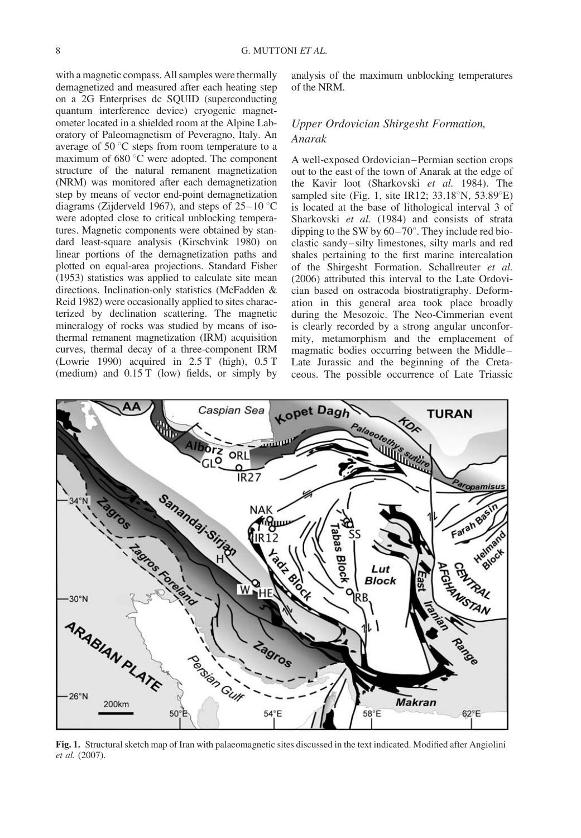with a magnetic compass. All samples were thermally demagnetized and measured after each heating step on a 2G Enterprises dc SQUID (superconducting quantum interference device) cryogenic magnetometer located in a shielded room at the Alpine Laboratory of Paleomagnetism of Peveragno, Italy. An average of  $50^{\circ}$ C steps from room temperature to a maximum of  $680^{\circ}$ C were adopted. The component structure of the natural remanent magnetization (NRM) was monitored after each demagnetization step by means of vector end-point demagnetization diagrams (Zijderveld 1967), and steps of  $25-10$  °C were adopted close to critical unblocking temperatures. Magnetic components were obtained by standard least-square analysis (Kirschvink 1980) on linear portions of the demagnetization paths and plotted on equal-area projections. Standard Fisher (1953) statistics was applied to calculate site mean directions. Inclination-only statistics (McFadden & Reid 1982) were occasionally applied to sites characterized by declination scattering. The magnetic mineralogy of rocks was studied by means of isothermal remanent magnetization (IRM) acquisition curves, thermal decay of a three-component IRM (Lowrie 1990) acquired in 2.5 T (high), 0.5 T (medium) and 0.15 T (low) fields, or simply by

analysis of the maximum unblocking temperatures of the NRM.

## Upper Ordovician Shirgesht Formation, Anarak

A well-exposed Ordovician–Permian section crops out to the east of the town of Anarak at the edge of the Kavir loot (Sharkovski et al. 1984). The sampled site (Fig. 1, site IR12;  $33.18^{\circ}$ N,  $53.89^{\circ}$ E) is located at the base of lithological interval 3 of Sharkovski et al. (1984) and consists of strata dipping to the SW by  $60-70^\circ$ . They include red bioclastic sandy–silty limestones, silty marls and red shales pertaining to the first marine intercalation of the Shirgesht Formation. Schallreuter et al. (2006) attributed this interval to the Late Ordovician based on ostracoda biostratigraphy. Deformation in this general area took place broadly during the Mesozoic. The Neo-Cimmerian event is clearly recorded by a strong angular unconformity, metamorphism and the emplacement of magmatic bodies occurring between the Middle– Late Jurassic and the beginning of the Cretaceous. The possible occurrence of Late Triassic



Fig. 1. Structural sketch map of Iran with palaeomagnetic sites discussed in the text indicated. Modified after Angiolini et al. (2007).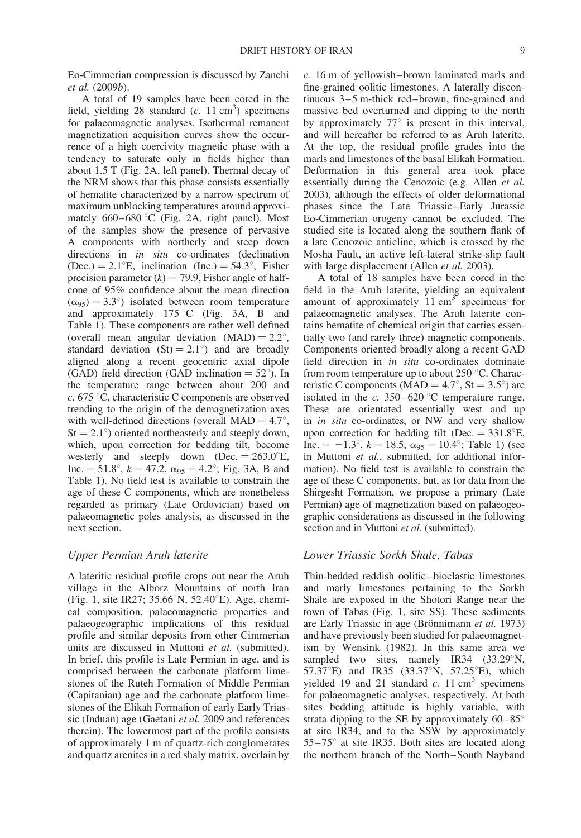Eo-Cimmerian compression is discussed by Zanchi et al. (2009b).

A total of 19 samples have been cored in the field, yielding 28 standard  $(c. 11 \text{ cm}^3)$  specimens for palaeomagnetic analyses. Isothermal remanent magnetization acquisition curves show the occurrence of a high coercivity magnetic phase with a tendency to saturate only in fields higher than about 1.5 T (Fig. 2A, left panel). Thermal decay of the NRM shows that this phase consists essentially of hematite characterized by a narrow spectrum of maximum unblocking temperatures around approximately  $660-680$  °C (Fig. 2A, right panel). Most of the samples show the presence of pervasive A components with northerly and steep down directions in *in situ* co-ordinates (declination (Dec.) =  $2.1^{\circ}E$ , inclination (Inc.) =  $54.3^{\circ}$ , Fisher precision parameter  $(k) = 79.9$ , Fisher angle of halfcone of 95% confidence about the mean direction  $(\alpha_{95}) = 3.3^{\circ}$  isolated between room temperature and approximately  $175 \degree C$  (Fig. 3A, B and Table 1). These components are rather well defined (overall mean angular deviation  $(MAD) = 2.2^{\circ}$ , standard deviation  $(St) = 2.1^{\circ}$  and are broadly aligned along a recent geocentric axial dipole (GAD) field direction (GAD inclination  $= 52^{\circ}$ ). In the temperature range between about 200 and  $c. 675$  °C, characteristic C components are observed trending to the origin of the demagnetization axes with well-defined directions (overall  $MAD = 4.7^{\circ}$ ,  $St = 2.1^{\circ}$ ) oriented northeasterly and steeply down, which, upon correction for bedding tilt, become westerly and steeply down (Dec.  $= 263.0^{\circ}E$ , Inc.  $= 51.8^{\circ}$ ,  $k = 47.2$ ,  $\alpha_{95} = 4.2^{\circ}$ ; Fig. 3A, B and Table 1). No field test is available to constrain the age of these C components, which are nonetheless regarded as primary (Late Ordovician) based on palaeomagnetic poles analysis, as discussed in the next section.

#### Upper Permian Aruh laterite

A lateritic residual profile crops out near the Aruh village in the Alborz Mountains of north Iran (Fig. 1, site IR27;  $35.66^{\circ}N$ ,  $52.40^{\circ}E$ ). Age, chemical composition, palaeomagnetic properties and palaeogeographic implications of this residual profile and similar deposits from other Cimmerian units are discussed in Muttoni et al. (submitted). In brief, this profile is Late Permian in age, and is comprised between the carbonate platform limestones of the Ruteh Formation of Middle Permian (Capitanian) age and the carbonate platform limestones of the Elikah Formation of early Early Triassic (Induan) age (Gaetani et al. 2009 and references therein). The lowermost part of the profile consists of approximately 1 m of quartz-rich conglomerates and quartz arenites in a red shaly matrix, overlain by c. 16 m of yellowish–brown laminated marls and fine-grained oolitic limestones. A laterally discontinuous 3–5 m-thick red–brown, fine-grained and massive bed overturned and dipping to the north by approximately  $77^{\circ}$  is present in this interval, and will hereafter be referred to as Aruh laterite. At the top, the residual profile grades into the marls and limestones of the basal Elikah Formation. Deformation in this general area took place essentially during the Cenozoic (e.g. Allen et al. 2003), although the effects of older deformational phases since the Late Triassic–Early Jurassic Eo-Cimmerian orogeny cannot be excluded. The studied site is located along the southern flank of a late Cenozoic anticline, which is crossed by the Mosha Fault, an active left-lateral strike-slip fault with large displacement (Allen et al. 2003).

A total of 18 samples have been cored in the field in the Aruh laterite, yielding an equivalent amount of approximately  $11 \text{ cm}^3$  specimens for palaeomagnetic analyses. The Aruh laterite contains hematite of chemical origin that carries essentially two (and rarely three) magnetic components. Components oriented broadly along a recent GAD field direction in in situ co-ordinates dominate from room temperature up to about 250  $\degree$ C. Characteristic C components (MAD =  $4.7^{\circ}$ , St =  $3.5^{\circ}$ ) are isolated in the  $c. 350-620$  °C temperature range. These are orientated essentially west and up in in situ co-ordinates, or NW and very shallow upon correction for bedding tilt (Dec.  $= 331.8^{\circ}E$ , Inc.  $= -1.3^{\circ}$ ,  $k = 18.5$ ,  $\alpha_{95} = 10.4^{\circ}$ ; Table 1) (see in Muttoni et al., submitted, for additional information). No field test is available to constrain the age of these C components, but, as for data from the Shirgesht Formation, we propose a primary (Late Permian) age of magnetization based on palaeogeographic considerations as discussed in the following section and in Muttoni et al. (submitted).

#### Lower Triassic Sorkh Shale, Tabas

Thin-bedded reddish oolitic–bioclastic limestones and marly limestones pertaining to the Sorkh Shale are exposed in the Shotori Range near the town of Tabas (Fig. 1, site SS). These sediments are Early Triassic in age (Brönnimann et al. 1973) and have previously been studied for palaeomagnetism by Wensink (1982). In this same area we sampled two sites, namely IR34 (33.29°N, 57.37°E) and IR35 (33.37°N, 57.25°E), which yielded 19 and 21 standard  $c$ . 11 cm<sup>3</sup> specimens for palaeomagnetic analyses, respectively. At both sites bedding attitude is highly variable, with strata dipping to the SE by approximately  $60-85^\circ$ at site IR34, and to the SSW by approximately  $55-75^\circ$  at site IR35. Both sites are located along the northern branch of the North–South Nayband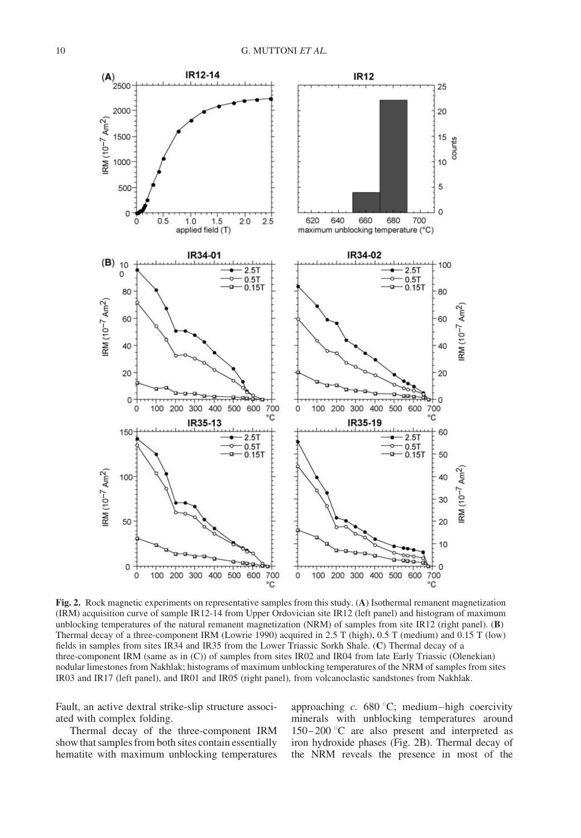

Fig. 2. Rock magnetic experiments on representative samples from this study. (A) Isothermal remanent magnetization (IRM) acquisition curve of sample IR12-14 from Upper Ordovician site IR12 (left panel) and histogram of maximum unblocking temperatures of the natural remanent magnetization (NRM) of samples from site IR12 (right panel). (B) Thermal decay of a three-component IRM (Lowrie 1990) acquired in 2.5 T (high), 0.5 T (medium) and 0.15 T (low) fields in samples from sites IR34 and IR35 from the Lower Triassic Sorkh Shale. (C) Thermal decay of a three-component IRM (same as in (C)) of samples from sites IR02 and IR04 from late Early Triassic (Olenekian) nodular limestones from Nakhlak; histograms of maximum unblocking temperatures of the NRM of samples from sites IR03 and IR17 (left panel), and IR01 and IR05 (right panel), from volcanoclastic sandstones from Nakhlak.

Fault, an active dextral strike-slip structure associated with complex folding.

Thermal decay of the three-component IRM show that samples from both sites contain essentially hematite with maximum unblocking temperatures approaching c.  $680^{\circ}$ C; medium–high coercivity minerals with unblocking temperatures around  $150-200$  °C are also present and interpreted as iron hydroxide phases (Fig. 2B). Thermal decay of the NRM reveals the presence in most of the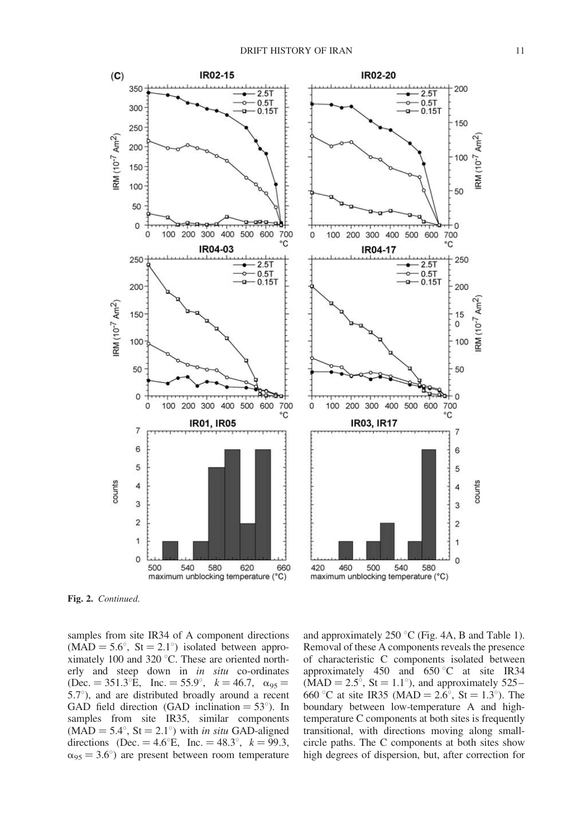

Fig. 2. Continued.

samples from site IR34 of A component directions  $(MAD = 5.6^{\circ}, \text{St} = 2.1^{\circ})$  isolated between approximately 100 and 320 $^{\circ}$ C. These are oriented northerly and steep down in in situ co-ordinates  $(Dec. = 351.3^{\circ}E, \text{ Inc.} = 55.9^{\circ}, \text{ } k = 46.7, \text{ } \alpha_{95} =$  $5.7^{\circ}$ ), and are distributed broadly around a recent GAD field direction (GAD inclination  $= 53^{\circ}$ ). In samples from site IR35, similar components  $(MAD = 5.4^{\circ}, St = 2.1^{\circ})$  with *in situ* GAD-aligned directions (Dec. = 4.6°E, Inc. = 48.3°,  $k = 99.3$ ,  $\alpha_{95} = 3.6^{\circ}$  are present between room temperature

and approximately 250  $\degree$ C (Fig. 4A, B and Table 1). Removal of these A components reveals the presence of characteristic C components isolated between approximately 450 and  $650^{\circ}$ C at site IR34  $(MAD = 2.5^{\circ}, St = 1.1^{\circ})$ , and approximately 525– 660 °C at site IR35 (MAD =  $2.6^{\circ}$ , St =  $1.3^{\circ}$ ). The boundary between low-temperature A and hightemperature C components at both sites is frequently transitional, with directions moving along smallcircle paths. The C components at both sites show high degrees of dispersion, but, after correction for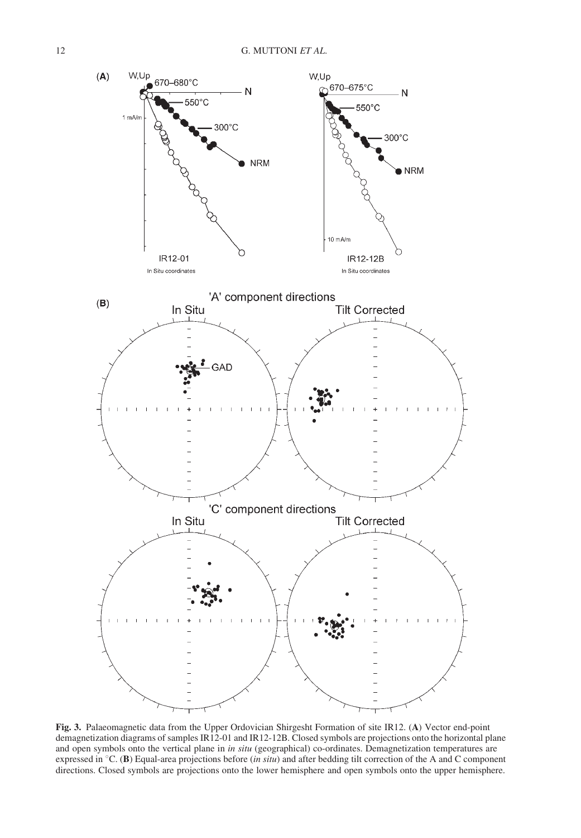

Fig. 3. Palaeomagnetic data from the Upper Ordovician Shirgesht Formation of site IR12. (A) Vector end-point demagnetization diagrams of samples IR12-01 and IR12-12B. Closed symbols are projections onto the horizontal plane and open symbols onto the vertical plane in in situ (geographical) co-ordinates. Demagnetization temperatures are expressed in  ${}^{\circ}C$ . (B) Equal-area projections before (in situ) and after bedding tilt correction of the A and C component directions. Closed symbols are projections onto the lower hemisphere and open symbols onto the upper hemisphere.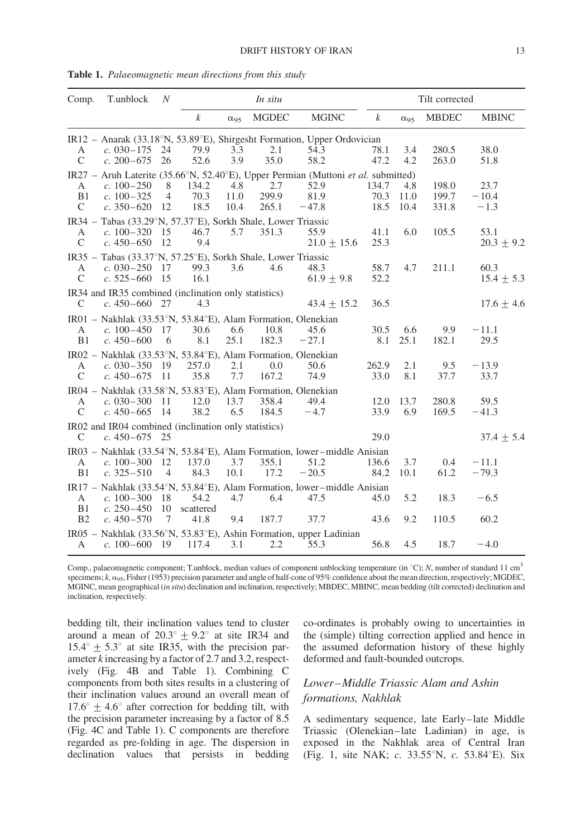| Comp.          | T.unblock                                                                        | $\boldsymbol{N}$ | In situ          |               |              |                                                                                   |                  | Tilt corrected |              |                |  |  |  |
|----------------|----------------------------------------------------------------------------------|------------------|------------------|---------------|--------------|-----------------------------------------------------------------------------------|------------------|----------------|--------------|----------------|--|--|--|
|                |                                                                                  |                  | $\boldsymbol{k}$ | $\alpha_{95}$ | <b>MGDEC</b> | <b>MGINC</b>                                                                      | $\boldsymbol{k}$ | $\alpha_{95}$  | <b>MBDEC</b> | <b>MBINC</b>   |  |  |  |
|                | IR12 - Anarak (33.18°N, 53.89°E), Shirgesht Formation, Upper Ordovician          |                  |                  |               |              |                                                                                   |                  |                |              |                |  |  |  |
| A              | c. $030 - 175$                                                                   | 24               | 79.9             | 3.3           | 2.1          | 54.3                                                                              | 78.1             | 3.4            | 280.5        | 38.0           |  |  |  |
| $\mathcal{C}$  | $c. 200 - 675$                                                                   | 26               | 52.6             | 3.9           | 35.0         | 58.2                                                                              | 47.2             | 4.2            | 263.0        | 51.8           |  |  |  |
|                |                                                                                  |                  |                  |               |              | IR27 - Aruh Laterite (35.66°N, 52.40°E), Upper Permian (Muttoni et al. submitted) |                  |                |              |                |  |  |  |
| A              | $c. 100 - 250$                                                                   | 8                | 134.2            | 4.8           | 2.7          | 52.9                                                                              | 134.7            | 4.8            | 198.0        | 23.7           |  |  |  |
| B1             | $c. 100 - 325$                                                                   | $\overline{4}$   | 70.3             | 11.0          | 299.9        | 81.9                                                                              | 70.3             | 11.0           | 199.7        | $-10.4$        |  |  |  |
| $\mathcal{C}$  | $c. 350 - 620$                                                                   | 12               | 18.5             | 10.4          | 265.1        | $-47.8$                                                                           | 18.5             | 10.4           | 331.8        | $-1.3$         |  |  |  |
| $IR34 -$       | Tabas (33.29°N, 57.37°E), Sorkh Shale, Lower Triassic                            |                  |                  |               |              |                                                                                   |                  |                |              |                |  |  |  |
| А              | c. $100 - 320$                                                                   | 15               | 46.7             | 5.7           | 351.3        | 55.9                                                                              | 41.1             | 6.0            | 105.5        | 53.1           |  |  |  |
| $\mathcal{C}$  | $c.450 - 650$                                                                    | 12               | 9.4              |               |              | $21.0 \pm 15.6$                                                                   | 25.3             |                |              | $20.3 \pm 9.2$ |  |  |  |
| $IR35 -$       | Tabas (33.37°N, 57.25°E), Sorkh Shale, Lower Triassic                            |                  |                  |               |              |                                                                                   |                  |                |              |                |  |  |  |
| A              | c. $030 - 250$ 17                                                                |                  | 99.3             | 3.6           | 4.6          | 48.3                                                                              | 58.7             | 4.7            | 211.1        | 60.3           |  |  |  |
| $\mathcal{C}$  | $c. 525 - 660$                                                                   | 15               | 16.1             |               |              | $61.9 + 9.8$                                                                      | 52.2             |                |              | $15.4 \pm 5.3$ |  |  |  |
|                | IR34 and IR35 combined (inclination only statistics)                             |                  |                  |               |              |                                                                                   |                  |                |              |                |  |  |  |
| $\mathcal{C}$  | $c.450 - 660$ 27                                                                 |                  | 4.3              |               |              | $43.4 + 15.2$                                                                     | 36.5             |                |              | $17.6 \pm 4.6$ |  |  |  |
|                |                                                                                  |                  |                  |               |              |                                                                                   |                  |                |              |                |  |  |  |
|                | IR01 – Nakhlak (33.53 $\degree$ N, 53.84 $\degree$ E), Alam Formation, Olenekian |                  |                  |               |              |                                                                                   |                  |                |              |                |  |  |  |
| A              | $c. 100 - 450$ 17                                                                |                  | 30.6             | 6.6           | 10.8         | 45.6                                                                              | 30.5             | 6.6            | 9.9          | $-11.1$        |  |  |  |
| B1             | $c.450 - 600$                                                                    | 6                | 8.1              | 25.1          | 182.3        | $-27.1$                                                                           | 8.1              | 25.1           | 182.1        | 29.5           |  |  |  |
|                | IR02 – Nakhlak (33.53 $\degree$ N, 53.84 $\degree$ E), Alam Formation, Olenekian |                  |                  |               |              |                                                                                   |                  |                |              |                |  |  |  |
| A              | c. $030 - 350$ 19                                                                |                  | 257.0            | 2.1           | 0.0          | 50.6                                                                              | 262.9            | 2.1            | 9.5          | $-13.9$        |  |  |  |
| $\mathcal{C}$  | c. $450 - 675$                                                                   | -11              | 35.8             | 7.7           | 167.2        | 74.9                                                                              | 33.0             | 8.1            | 37.7         | 33.7           |  |  |  |
|                | IR04 – Nakhlak (33.58°N, 53.83°E), Alam Formation, Olenekian                     |                  |                  |               |              |                                                                                   |                  |                |              |                |  |  |  |
| A              | c. $030 - 300$                                                                   | - 11             | 12.0             | 13.7          | 358.4        | 49.4                                                                              | 12.0             | 13.7           | 280.8        | 59.5           |  |  |  |
| $\mathcal{C}$  | $c.450 - 665$                                                                    | -14              | 38.2             | 6.5           | 184.5        | $-4.7$                                                                            | 33.9             | 6.9            | 169.5        | $-41.3$        |  |  |  |
|                | IR02 and IR04 combined (inclination only statistics)                             |                  |                  |               |              |                                                                                   |                  |                |              |                |  |  |  |
| $\mathsf{C}$   | c. $450 - 675$                                                                   | 25               |                  |               |              |                                                                                   | 29.0             |                |              | $37.4 \pm 5.4$ |  |  |  |
|                |                                                                                  |                  |                  |               |              | $IR03 - Nakhlak (33.54°N, 53.84°E),$ Alam Formation, lower-middle Anisian         |                  |                |              |                |  |  |  |
| A              | c. $100 - 300$                                                                   | -12              | 137.0            | 3.7           | 355.1        | 51.2                                                                              | 136.6            | 3.7            | 0.4          | $-11.1$        |  |  |  |
| B1             | c. $325 - 510$                                                                   | $\overline{4}$   | 84.3             | 10.1          | 17.2         | $-20.5$                                                                           | 84.2             | 10.1           | 61.2         | $-79.3$        |  |  |  |
|                |                                                                                  |                  |                  |               |              | $IR17$ – Nakhlak (33.54°N, 53.84°E), Alam Formation, lower–middle Anisian         |                  |                |              |                |  |  |  |
| A              | c. $100 - 300$ 18                                                                |                  | 54.2             | 4.7           | 6.4          | 47.5                                                                              | 45.0             | 5.2            | 18.3         | $-6.5$         |  |  |  |
| B1             | c. $250 - 450$                                                                   | 10               | scattered        |               |              |                                                                                   |                  |                |              |                |  |  |  |
| B <sub>2</sub> | $c.450 - 570$                                                                    | 7                | 41.8             | 9.4           | 187.7        | 37.7                                                                              | 43.6             | 9.2            | 110.5        | 60.2           |  |  |  |
|                |                                                                                  |                  |                  |               |              |                                                                                   |                  |                |              |                |  |  |  |
|                |                                                                                  |                  |                  |               |              | $IR05$ – Nakhlak (33.56°N, 53.83°E), Ashin Formation, upper Ladinian              |                  |                |              |                |  |  |  |
| А              | c. $100 - 600$ 19                                                                |                  | 117.4            | 3.1           | 2.2          | 55.3                                                                              | 56.8             | 4.5            | 18.7         | $-4.0$         |  |  |  |

Table 1. Palaeomagnetic mean directions from this study

Comp., palaeomagnetic component; T.unblock, median values of component unblocking temperature (in  $^{\circ}$ C); N, number of standard 11 cm<sup>3</sup> specimens;  $k$ ,  $\alpha_{95}$ , Fisher (1953) precision parameter and angle of half-cone of 95% confidence about the mean direction, respectively; MGDEC, MGINC, mean geographical (in situ) declination and inclination, respectively; MBDEC, MBINC, mean bedding (tilt corrected) declination and inclination, respectively.

bedding tilt, their inclination values tend to cluster around a mean of  $20.3^{\circ} \pm 9.2^{\circ}$  at site IR34 and  $15.4^{\circ} \pm 5.3^{\circ}$  at site IR35, with the precision parameter k increasing by a factor of 2.7 and 3.2, respectively (Fig. 4B and Table 1). Combining C components from both sites results in a clustering of their inclination values around an overall mean of  $17.6^{\circ}$  + 4.6° after correction for bedding tilt, with the precision parameter increasing by a factor of 8.5 (Fig. 4C and Table 1). C components are therefore regarded as pre-folding in age. The dispersion in declination values that persists in bedding co-ordinates is probably owing to uncertainties in the (simple) tilting correction applied and hence in the assumed deformation history of these highly deformed and fault-bounded outcrops.

## Lower–Middle Triassic Alam and Ashin formations, Nakhlak

A sedimentary sequence, late Early–late Middle Triassic (Olenekian–late Ladinian) in age, is exposed in the Nakhlak area of Central Iran (Fig. 1, site NAK;  $c$ . 33.55°N,  $c$ . 53.84°E). Six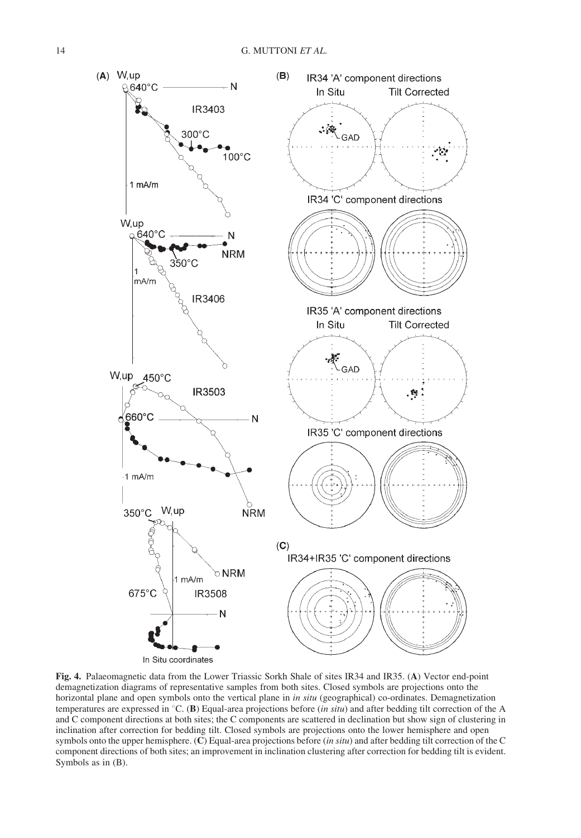

Fig. 4. Palaeomagnetic data from the Lower Triassic Sorkh Shale of sites IR34 and IR35. (A) Vector end-point demagnetization diagrams of representative samples from both sites. Closed symbols are projections onto the horizontal plane and open symbols onto the vertical plane in in situ (geographical) co-ordinates. Demagnetization temperatures are expressed in  $\degree C$ . (B) Equal-area projections before (*in situ*) and after bedding tilt correction of the A and C component directions at both sites; the C components are scattered in declination but show sign of clustering in inclination after correction for bedding tilt. Closed symbols are projections onto the lower hemisphere and open symbols onto the upper hemisphere. (C) Equal-area projections before (in situ) and after bedding tilt correction of the C component directions of both sites; an improvement in inclination clustering after correction for bedding tilt is evident. Symbols as in (B).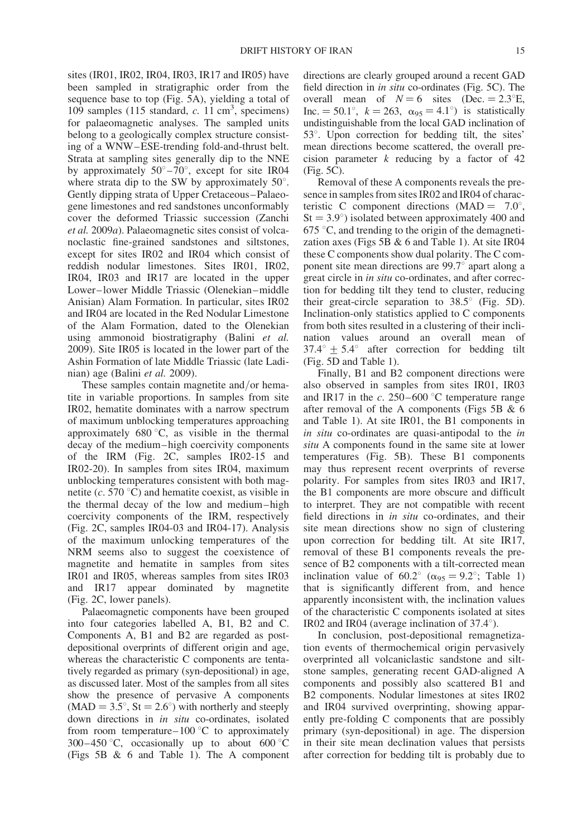sites (IR01, IR02, IR04, IR03, IR17 and IR05) have been sampled in stratigraphic order from the sequence base to top (Fig. 5A), yielding a total of 109 samples (115 standard,  $c$ . 11 cm<sup>3</sup>, specimens) for palaeomagnetic analyses. The sampled units belong to a geologically complex structure consisting of a WNW–ESE-trending fold-and-thrust belt. Strata at sampling sites generally dip to the NNE by approximately  $50^{\circ} - 70^{\circ}$ , except for site IR04 where strata dip to the SW by approximately  $50^\circ$ . Gently dipping strata of Upper Cretaceous–Palaeogene limestones and red sandstones unconformably cover the deformed Triassic succession (Zanchi et al. 2009a). Palaeomagnetic sites consist of volcanoclastic fine-grained sandstones and siltstones, except for sites IR02 and IR04 which consist of reddish nodular limestones. Sites IR01, IR02, IR04, IR03 and IR17 are located in the upper Lower–lower Middle Triassic (Olenekian–middle Anisian) Alam Formation. In particular, sites IR02 and IR04 are located in the Red Nodular Limestone of the Alam Formation, dated to the Olenekian using ammonoid biostratigraphy (Balini et al. 2009). Site IR05 is located in the lower part of the Ashin Formation of late Middle Triassic (late Ladinian) age (Balini et al. 2009).

These samples contain magnetite and/or hematite in variable proportions. In samples from site IR02, hematite dominates with a narrow spectrum of maximum unblocking temperatures approaching approximately  $680^{\circ}$ C, as visible in the thermal decay of the medium–high coercivity components of the IRM (Fig. 2C, samples IR02-15 and IR02-20). In samples from sites IR04, maximum unblocking temperatures consistent with both magnetite ( $c. 570 \degree C$ ) and hematite coexist, as visible in the thermal decay of the low and medium–high coercivity components of the IRM, respectively (Fig. 2C, samples IR04-03 and IR04-17). Analysis of the maximum unlocking temperatures of the NRM seems also to suggest the coexistence of magnetite and hematite in samples from sites IR01 and IR05, whereas samples from sites IR03 and IR17 appear dominated by magnetite (Fig. 2C, lower panels).

Palaeomagnetic components have been grouped into four categories labelled A, B1, B2 and C. Components A, B1 and B2 are regarded as postdepositional overprints of different origin and age, whereas the characteristic C components are tentatively regarded as primary (syn-depositional) in age, as discussed later. Most of the samples from all sites show the presence of pervasive A components  $(MAD = 3.5^{\circ}, St = 2.6^{\circ})$  with northerly and steeply down directions in in situ co-ordinates, isolated from room temperature–100  $\degree$ C to approximately 300–450 °C, occasionally up to about 600 °C (Figs 5B & 6 and Table 1). The A component

directions are clearly grouped around a recent GAD field direction in in situ co-ordinates (Fig. 5C). The overall mean of  $N = 6$  sites (Dec. = 2.3°E, Inc.  $= 50.1^{\circ}$ ,  $k = 263$ ,  $\alpha_{95} = 4.1^{\circ}$  is statistically undistinguishable from the local GAD inclination of  $53^\circ$ . Upon correction for bedding tilt, the sites' mean directions become scattered, the overall precision parameter  $k$  reducing by a factor of 42 (Fig. 5C).

Removal of these A components reveals the presence in samples from sites IR02 and IR04 of characteristic C component directions  $(MAD = 7.0^{\circ})$ ,  $St = 3.9^{\circ}$ ) isolated between approximately 400 and  $675$  °C, and trending to the origin of the demagnetization axes (Figs 5B  $& 6$  and Table 1). At site IR04 these C components show dual polarity. The C component site mean directions are 99.7° apart along a great circle in in situ co-ordinates, and after correction for bedding tilt they tend to cluster, reducing their great-circle separation to  $38.5^{\circ}$  (Fig. 5D). Inclination-only statistics applied to C components from both sites resulted in a clustering of their inclination values around an overall mean of  $37.4^{\circ} + 5.4^{\circ}$  after correction for bedding tilt (Fig. 5D and Table 1).

Finally, B1 and B2 component directions were also observed in samples from sites IR01, IR03 and IR17 in the  $c. 250-600$  °C temperature range after removal of the A components (Figs 5B & 6 and Table 1). At site IR01, the B1 components in in situ co-ordinates are quasi-antipodal to the in situ A components found in the same site at lower temperatures (Fig. 5B). These B1 components may thus represent recent overprints of reverse polarity. For samples from sites IR03 and IR17, the B1 components are more obscure and difficult to interpret. They are not compatible with recent field directions in in situ co-ordinates, and their site mean directions show no sign of clustering upon correction for bedding tilt. At site IR17, removal of these B1 components reveals the presence of B2 components with a tilt-corrected mean inclination value of  $60.2^{\circ}$  ( $\alpha_{95} = 9.2^{\circ}$ ; Table 1) that is significantly different from, and hence apparently inconsistent with, the inclination values of the characteristic C components isolated at sites IR02 and IR04 (average inclination of  $37.4^{\circ}$ ).

In conclusion, post-depositional remagnetization events of thermochemical origin pervasively overprinted all volcaniclastic sandstone and siltstone samples, generating recent GAD-aligned A components and possibly also scattered B1 and B2 components. Nodular limestones at sites IR02 and IR04 survived overprinting, showing apparently pre-folding C components that are possibly primary (syn-depositional) in age. The dispersion in their site mean declination values that persists after correction for bedding tilt is probably due to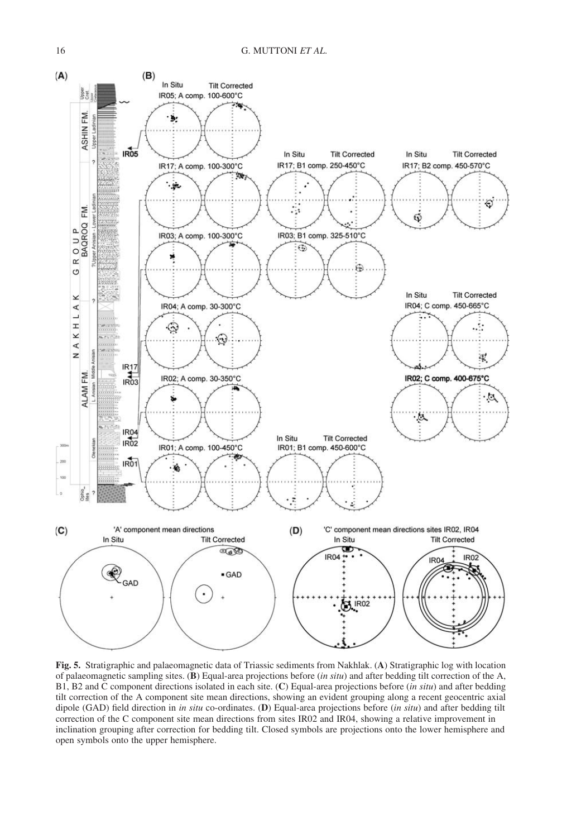

Fig. 5. Stratigraphic and palaeomagnetic data of Triassic sediments from Nakhlak. (A) Stratigraphic log with location of palaeomagnetic sampling sites. (B) Equal-area projections before (in situ) and after bedding tilt correction of the A, B1, B2 and C component directions isolated in each site. (C) Equal-area projections before (in situ) and after bedding tilt correction of the A component site mean directions, showing an evident grouping along a recent geocentric axial dipole (GAD) field direction in in situ co-ordinates. (D) Equal-area projections before (in situ) and after bedding tilt correction of the C component site mean directions from sites IR02 and IR04, showing a relative improvement in inclination grouping after correction for bedding tilt. Closed symbols are projections onto the lower hemisphere and open symbols onto the upper hemisphere.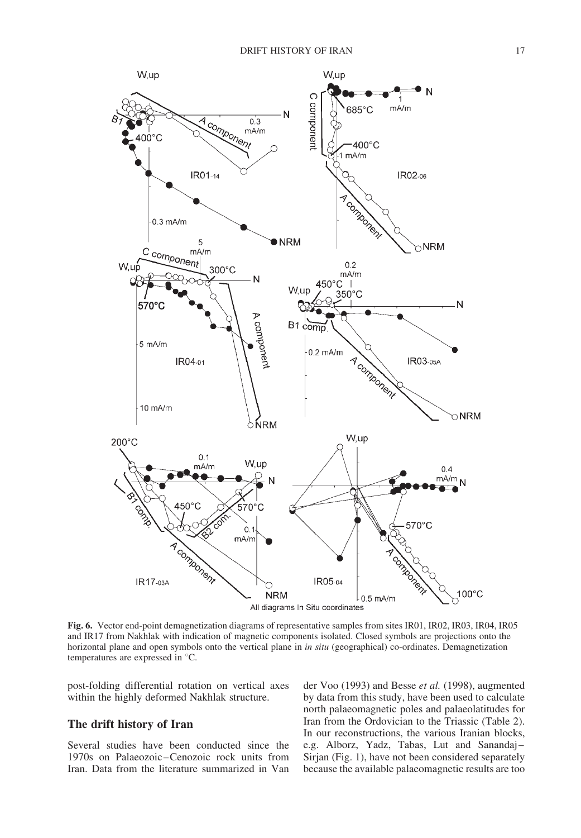

Fig. 6. Vector end-point demagnetization diagrams of representative samples from sites IR01, IR02, IR03, IR04, IR05 and IR17 from Nakhlak with indication of magnetic components isolated. Closed symbols are projections onto the horizontal plane and open symbols onto the vertical plane in in situ (geographical) co-ordinates. Demagnetization temperatures are expressed in °C.

post-folding differential rotation on vertical axes within the highly deformed Nakhlak structure.

### The drift history of Iran

Several studies have been conducted since the 1970s on Palaeozoic–Cenozoic rock units from Iran. Data from the literature summarized in Van

der Voo (1993) and Besse et al. (1998), augmented by data from this study, have been used to calculate north palaeomagnetic poles and palaeolatitudes for Iran from the Ordovician to the Triassic (Table 2). In our reconstructions, the various Iranian blocks, e.g. Alborz, Yadz, Tabas, Lut and Sanandaj– Sirjan (Fig. 1), have not been considered separately because the available palaeomagnetic results are too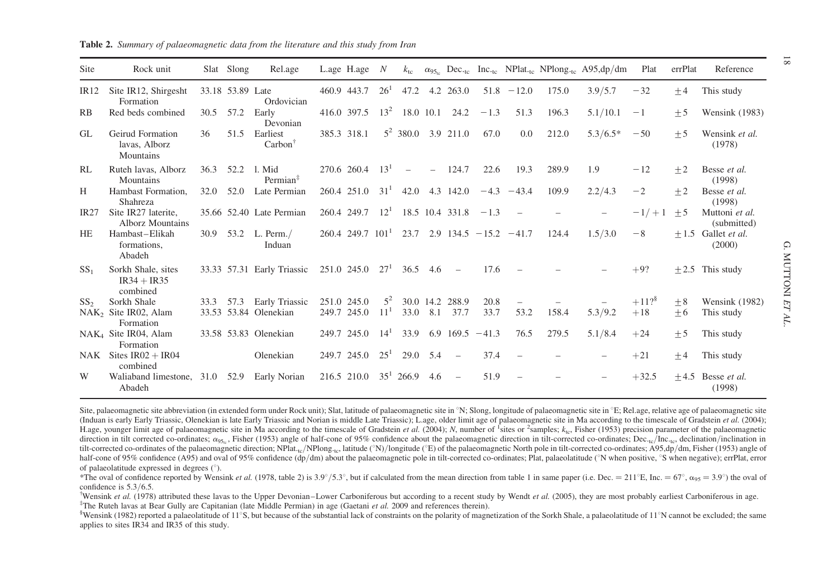| Site            | Rock unit                                       |      | Slat Slong       | Rel.age                                        |       | L.age H.age $N$      |                          |                          |                          |                          |              |                             |       | $k_{\rm tc}$ $\alpha_{95_{\rm lo}}$ Dec. <sub>te</sub> Inc. <sub>te</sub> NPlat. <sub>te</sub> NPlong. <sub>te</sub> A95,dp/dm | Plat    | errPlat | Reference                             |
|-----------------|-------------------------------------------------|------|------------------|------------------------------------------------|-------|----------------------|--------------------------|--------------------------|--------------------------|--------------------------|--------------|-----------------------------|-------|--------------------------------------------------------------------------------------------------------------------------------|---------|---------|---------------------------------------|
| IR12            | Site IR12, Shirgesht<br>Formation               |      | 33.18 53.89 Late | Ordovician                                     |       | 460.9 443.7          | $26^{1}$                 | 47.2                     |                          | 4.2 263.0                |              | $51.8 - 12.0$               | 175.0 | 3.9/5.7                                                                                                                        | $-32$   | $+4$    | This study                            |
| RB              | Red beds combined                               | 30.5 | 57.2             | Early<br>Devonian                              |       | 416.0 397.5          | $13^2$                   |                          |                          | 18.0 10.1 24.2           | $-1.3$       | 51.3                        | 196.3 | 5.1/10.1                                                                                                                       | $-1$    | $+5$    | Wensink (1983)                        |
| GL.             | Geirud Formation<br>lavas, Alborz<br>Mountains  | 36   | 51.5             | Earliest<br>Carbon <sup>†</sup>                |       | 385.3 318.1          |                          |                          |                          | $5^2$ 380.0 3.9 211.0    | 67.0         | 0.0                         | 212.0 | $5.3/6.5*$                                                                                                                     | $-50$   | $+5$    | Wensink et al.<br>(1978)              |
| RL              | Ruteh lavas, Alborz<br>Mountains                | 36.3 | 52.2             | 1. Mid<br>Permian <sup>‡</sup>                 |       | 270.6 260.4          | $13^{1}$                 | $\overline{\phantom{a}}$ | $\overline{\phantom{0}}$ | 124.7                    | 22.6         | 19.3                        | 289.9 | 1.9                                                                                                                            | $-12$   | $+2$    | Besse et al.<br>(1998)                |
| Н               | Hambast Formation.<br>Shahreza                  | 32.0 | 52.0             | Late Permian                                   |       | 260.4 251.0          | 31 <sup>1</sup>          | 42.0                     |                          | 4.3 142.0                |              | $-4.3 -43.4$                | 109.9 | 2.2/4.3                                                                                                                        | $-2$    | $+2$    | Besse et al.<br>(1998)                |
| <b>IR27</b>     | Site IR27 laterite.<br><b>Alborz Mountains</b>  |      |                  | 35.66 52.40 Late Permian                       |       | 260.4 249.7          | $12^{1}$                 |                          |                          | 18.5 10.4 331.8          | $-1.3$       |                             |       |                                                                                                                                | $-1/+1$ | $+5$    | Muttoni et al.<br>(submitted)         |
| <b>HE</b>       | Hambast-Elikah<br>formations,<br>Abadeh         | 30.9 | 53.2             | $L.$ Perm. $/$<br>Induan                       |       | $260.4$ 249.7 $1011$ |                          | 23.7                     |                          |                          |              | $2.9$ 134.5 $-15.2$ $-41.7$ | 124.4 | 1.5/3.0                                                                                                                        | $-8$    |         | $+1.5$ Gallet <i>et al.</i><br>(2000) |
| SS <sub>1</sub> | Sorkh Shale, sites<br>$IR34 + IR35$<br>combined |      |                  | 33.33 57.31 Early Triassic                     |       | 251.0 245.0          | $27^{1}$                 | 36.5                     | 4.6                      | $\overline{\phantom{0}}$ | 17.6         |                             |       |                                                                                                                                | $+9?$   |         | $\pm 2.5$ This study                  |
| SS <sub>2</sub> | Sorkh Shale                                     | 33.3 | 57.3             | <b>Early Triassic</b><br>33.53 53.84 Olenekian | 249.7 | 251.0 245.0<br>245.0 | $5^2$<br>11 <sup>1</sup> | 33.0                     | 30.0 14.2<br>8.1         | 288.9<br>37.7            | 20.8<br>33.7 | 53.2                        | 158.4 |                                                                                                                                | $+11$ ? | $+8$    | <b>Wensink</b> (1982)                 |
|                 | NAK <sub>2</sub> Site IR02, Alam<br>Formation   |      |                  |                                                |       |                      |                          |                          |                          |                          |              |                             |       | 5.3/9.2                                                                                                                        | $+18$   | $+6$    | This study                            |
|                 | NAK <sub>4</sub> Site IR04, Alam<br>Formation   |      |                  | 33.58 53.83 Olenekian                          |       | 249.7 245.0          | $14^{1}$                 | 33.9                     | 6.9                      | $169.5 - 41.3$           |              | 76.5                        | 279.5 | 5.1/8.4                                                                                                                        | $+24$   | $+5$    | This study                            |
| NAK             | Sites $IR02 + IR04$<br>combined                 |      |                  | Olenekian                                      |       | 249.7 245.0          | $25^1$                   | 29.0 5.4                 |                          | $\overline{\phantom{0}}$ | 37.4         |                             |       |                                                                                                                                | $+21$   | $+4$    | This study                            |
| W               | Waliaband limestone, 31.0<br>Abadeh             |      | 52.9             | Early Norian                                   |       | 216.5 210.0          |                          | $35^1$ 266.9             | 4.6                      | $\overline{\phantom{0}}$ | 51.9         | $\overline{\phantom{0}}$    |       |                                                                                                                                | $+32.5$ |         | $+4.5$ Besse et al.<br>(1998)         |

**Table 2.** Summary of palaeomagnetic data from the literature and this study from Iran

Site, palaeomagnetic site abbreviation (in extended form under Rock unit); Slat, latitude of palaeomagnetic site in <sup>8</sup>N; Slong, longitude of palaeomagnetic site in <sup>8</sup>E; Rel.age, relative age of palaeomagnetic site (Induan is early Early Triassic, Olenekian is late Early Triassic and Norian is middle Late Triassic); L.age, older limit age of palaeomagnetic site in Ma according to the timescale of Gradstein et al. (2004); H.age, younger limit age of palaeomagnetic site in Ma according to the timescale of Gradstein et al. (2004); N, number of <sup>1</sup>sites or <sup>2</sup>samples;  $k<sub>to</sub>$ ; Fisher (1953) precision parameter of the palaeomagnetic direction in tilt corrected co-ordinates;  $\alpha_{95_k}$ , Fisher (1953) angle of half-cone of 95% confidence about the palaeomagnetic direction in tilt-corrected co-ordinates; Dec.<sub>tc</sub>/Inc.<sub>tc</sub>, declination/inclination in tilt-corrected co-ordinates of the palaeomagnetic direction; NPlat.<sub>tc</sub>/NPlong.<sub>tc</sub>, latitude (°N)/longitude (°E) of the palaeomagnetic North pole in tilt-corrected co-ordinates; A95,dp/dm, Fisher (1953) angle of half-cone of 95% confidence (A95) and oval of 95% confidence (dp/dm) about the palaeomagnetic pole in tilt-corrected co-ordinates; Plat, palaeolatitude ( $\degree$ N when positive,  $\degree$ S when negative); errPlat, error of palaeolatitude expressed in degrees  $(°)$ .

\*The oval of confidence reported by Wensink *et al.* (1978, table 2) is 3.9°/5.3°, but if calculated from the mean direction from table 1 in same paper (i.e. Dec. = 211°E, Inc. = 67°,  $\alpha_{95}$  = 3.9°) the oval of confiden confidence is 5.3/6.5.<br><sup>†</sup>Wensink et al. (1978) attributed these lavas to the Upper Devonian–Lower Carboniferous but according to a recent study by Wendt et al. (2005), they are most probably earliest Carboniferous in age.

<sup>‡</sup>The Ruteh lavas at Bear Gully are Capitanian (late Middle Permian) in age (Gaetani *et al.* 2009 and references therein).

<sup>§</sup>Wensink (1982) reported a palaeolatitude of 11°S, but because of the substantial lack of constraints on the polarity of magnetization of the Sorkh Shale, a palaeolatitude of 11°N cannot be excluded; the same applies to sites IR34 and IR35 of this study.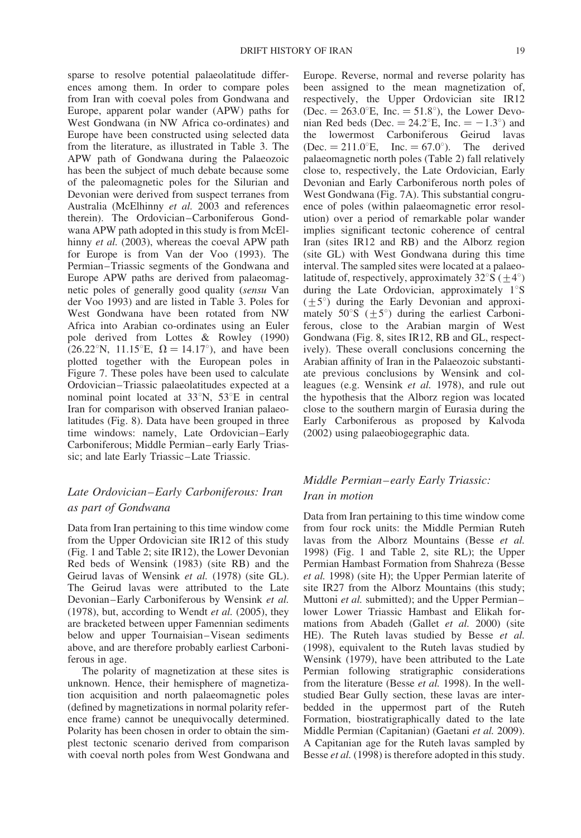sparse to resolve potential palaeolatitude differences among them. In order to compare poles from Iran with coeval poles from Gondwana and Europe, apparent polar wander (APW) paths for West Gondwana (in NW Africa co-ordinates) and Europe have been constructed using selected data from the literature, as illustrated in Table 3. The APW path of Gondwana during the Palaeozoic has been the subject of much debate because some of the paleomagnetic poles for the Silurian and Devonian were derived from suspect terranes from Australia (McElhinny et al. 2003 and references therein). The Ordovician–Carboniferous Gondwana APW path adopted in this study is from McElhinny et al. (2003), whereas the coeval APW path for Europe is from Van der Voo (1993). The Permian–Triassic segments of the Gondwana and Europe APW paths are derived from palaeomagnetic poles of generally good quality (sensu Van der Voo 1993) and are listed in Table 3. Poles for West Gondwana have been rotated from NW Africa into Arabian co-ordinates using an Euler pole derived from Lottes & Rowley (1990) (26.22°N, 11.15°E,  $\Omega = 14.17$ °), and have been plotted together with the European poles in Figure 7. These poles have been used to calculate Ordovician–Triassic palaeolatitudes expected at a nominal point located at  $33^{\circ}$ N,  $53^{\circ}$ E in central Iran for comparison with observed Iranian palaeolatitudes (Fig. 8). Data have been grouped in three time windows: namely, Late Ordovician–Early Carboniferous; Middle Permian–early Early Triassic; and late Early Triassic–Late Triassic.

## Late Ordovician–Early Carboniferous: Iran as part of Gondwana

Data from Iran pertaining to this time window come from the Upper Ordovician site IR12 of this study (Fig. 1 and Table 2; site IR12), the Lower Devonian Red beds of Wensink (1983) (site RB) and the Geirud lavas of Wensink et al. (1978) (site GL). The Geirud lavas were attributed to the Late Devonian–Early Carboniferous by Wensink et al. (1978), but, according to Wendt *et al.* (2005), they are bracketed between upper Famennian sediments below and upper Tournaisian–Visean sediments above, and are therefore probably earliest Carboniferous in age.

The polarity of magnetization at these sites is unknown. Hence, their hemisphere of magnetization acquisition and north palaeomagnetic poles (defined by magnetizations in normal polarity reference frame) cannot be unequivocally determined. Polarity has been chosen in order to obtain the simplest tectonic scenario derived from comparison with coeval north poles from West Gondwana and

Europe. Reverse, normal and reverse polarity has been assigned to the mean magnetization of, respectively, the Upper Ordovician site IR12 (Dec.  $= 263.0^{\circ}$ E, Inc.  $= 51.8^{\circ}$ ), the Lower Devonian Red beds (Dec.  $= 24.2^{\circ}E$ , Inc.  $= -1.3^{\circ}$ ) and the lowermost Carboniferous Geirud lavas  $(Dec. = 211.0^{\circ}E, Inc. = 67.0^{\circ}).$  The derived palaeomagnetic north poles (Table 2) fall relatively close to, respectively, the Late Ordovician, Early Devonian and Early Carboniferous north poles of West Gondwana (Fig. 7A). This substantial congruence of poles (within palaeomagnetic error resolution) over a period of remarkable polar wander implies significant tectonic coherence of central Iran (sites IR12 and RB) and the Alborz region (site GL) with West Gondwana during this time interval. The sampled sites were located at a palaeolatitude of, respectively, approximately  $32^{\circ}S$  (+4°) during the Late Ordovician, approximately  $1^{\circ}$ S  $(+5^{\circ})$  during the Early Devonian and approximately 50 $\degree$ S ( $\pm$ 5 $\degree$ ) during the earliest Carboniferous, close to the Arabian margin of West Gondwana (Fig. 8, sites IR12, RB and GL, respectively). These overall conclusions concerning the Arabian affinity of Iran in the Palaeozoic substantiate previous conclusions by Wensink and colleagues (e.g. Wensink et al. 1978), and rule out the hypothesis that the Alborz region was located close to the southern margin of Eurasia during the Early Carboniferous as proposed by Kalvoda (2002) using palaeobiogegraphic data.

## Middle Permian–early Early Triassic: Iran in motion

Data from Iran pertaining to this time window come from four rock units: the Middle Permian Ruteh lavas from the Alborz Mountains (Besse et al. 1998) (Fig. 1 and Table 2, site RL); the Upper Permian Hambast Formation from Shahreza (Besse et al. 1998) (site H); the Upper Permian laterite of site IR27 from the Alborz Mountains (this study; Muttoni *et al.* submitted); and the Upper Permian– lower Lower Triassic Hambast and Elikah formations from Abadeh (Gallet et al. 2000) (site HE). The Ruteh lavas studied by Besse et al. (1998), equivalent to the Ruteh lavas studied by Wensink (1979), have been attributed to the Late Permian following stratigraphic considerations from the literature (Besse et al. 1998). In the wellstudied Bear Gully section, these lavas are interbedded in the uppermost part of the Ruteh Formation, biostratigraphically dated to the late Middle Permian (Capitanian) (Gaetani et al. 2009). A Capitanian age for the Ruteh lavas sampled by Besse *et al.* (1998) is therefore adopted in this study.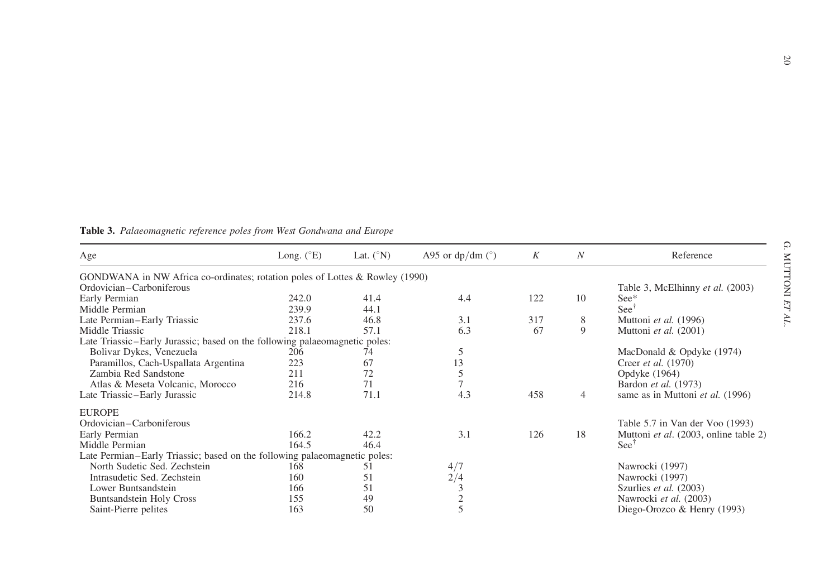| Age                                                                            | Long. $(^{\circ}E)$ | Lat. $({}^{\circ}N)$ | A95 or $dp/dm$ ( $\degree$ ) | K   | N              | Reference                             |
|--------------------------------------------------------------------------------|---------------------|----------------------|------------------------------|-----|----------------|---------------------------------------|
| GONDWANA in NW Africa co-ordinates; rotation poles of Lottes & Rowley $(1990)$ |                     |                      |                              |     |                |                                       |
| Ordovician-Carboniferous                                                       |                     |                      |                              |     |                | Table 3, McElhinny et al. (2003)      |
| Early Permian                                                                  | 242.0               | 41.4                 | 4.4                          | 122 | 10             | $See*$                                |
| Middle Permian                                                                 | 239.9               | 44.1                 |                              |     |                | See <sup>1</sup>                      |
| Late Permian-Early Triassic                                                    | 237.6               | 46.8                 | 3.1                          | 317 | 8              | Muttoni et al. (1996)                 |
| Middle Triassic                                                                | 218.1               | 57.1                 | 6.3                          | 67  | 9              | Muttoni et al. (2001)                 |
| Late Triassic-Early Jurassic; based on the following palaeomagnetic poles:     |                     |                      |                              |     |                |                                       |
| Bolivar Dykes, Venezuela                                                       | 206                 | 74                   | 5                            |     |                | MacDonald & Opdyke (1974)             |
| Paramillos, Cach-Uspallata Argentina                                           | 223                 | 67                   | 13                           |     |                | Creer <i>et al.</i> (1970)            |
| Zambia Red Sandstone                                                           | 211                 | 72                   | 5                            |     |                | Opdyke (1964)                         |
| Atlas & Meseta Volcanic, Morocco                                               | 216                 | 71                   |                              |     |                | Bardon et al. (1973)                  |
| Late Triassic-Early Jurassic                                                   | 214.8               | 71.1                 | 4.3                          | 458 | $\overline{4}$ | same as in Muttoni et al. (1996)      |
| <b>EUROPE</b>                                                                  |                     |                      |                              |     |                |                                       |
| Ordovician-Carboniferous                                                       |                     |                      |                              |     |                | Table 5.7 in Van der Voo (1993)       |
| Early Permian                                                                  | 166.2               | 42.2                 | 3.1                          | 126 | 18             | Muttoni et al. (2003, online table 2) |
| Middle Permian                                                                 | 164.5               | 46.4                 |                              |     |                | $\text{See}^{\dagger}$                |
| Late Permian–Early Triassic; based on the following palaeomagnetic poles:      |                     |                      |                              |     |                |                                       |
| North Sudetic Sed. Zechstein                                                   | 168                 | 51                   | 4/7                          |     |                | Nawrocki (1997)                       |
| Intrasudetic Sed. Zechstein                                                    | 160                 | 51                   | 2/4                          |     |                | Nawrocki (1997)                       |
| Lower Buntsandstein                                                            | 166                 | 51                   |                              |     |                | Szurlies et al. (2003)                |
| <b>Buntsandstein Holy Cross</b>                                                | 155                 | 49                   |                              |     |                | Nawrocki et al. (2003)                |
| Saint-Pierre pelites                                                           | 163                 | 50                   |                              |     |                | Diego-Orozco & Henry (1993)           |
|                                                                                |                     |                      |                              |     |                |                                       |

**Table 3.** Palaeomagnetic reference poles from West Gondwana and Europe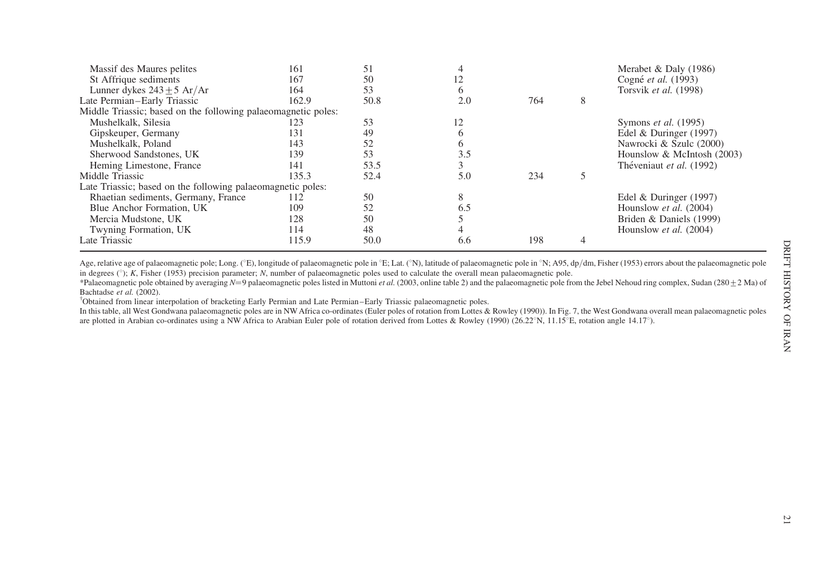| Massif des Maures pelites                                     | 161   | 51   |     |     |   | Merabet & Daly $(1986)$    |
|---------------------------------------------------------------|-------|------|-----|-----|---|----------------------------|
| St Affrique sediments                                         | 167   | 50   |     |     |   | Cogné et al. (1993)        |
| Lunner dykes $243 \pm 5$ Ar/Ar                                | 164   | 53   |     |     |   | Torsvik et al. (1998)      |
| Late Permian-Early Triassic                                   | 162.9 | 50.8 | 2.0 | 764 | 8 |                            |
| Middle Triassic; based on the following palaeomagnetic poles: |       |      |     |     |   |                            |
| Mushelkalk, Silesia                                           | 123   | 53   |     |     |   | Symons et al. (1995)       |
| Gipskeuper, Germany                                           | 131   | 49   |     |     |   | Edel & Duringer $(1997)$   |
| Mushelkalk, Poland                                            | 143   | 52   |     |     |   | Nawrocki & Szulc (2000)    |
| Sherwood Sandstones, UK                                       | 139   | 53   | 3.5 |     |   | Hounslow & McIntosh (2003) |
| Heming Limestone, France                                      | 141   | 53.5 |     |     |   | Théveniaut et al. (1992)   |
| Middle Triassic                                               | 135.3 | 52.4 | 5.0 | 234 |   |                            |
| Late Triassic; based on the following palaeomagnetic poles:   |       |      |     |     |   |                            |
| Rhaetian sediments, Germany, France                           | 112   | 50   |     |     |   | Edel & Duringer $(1997)$   |
| Blue Anchor Formation, UK                                     | 109   | 52   | 6.5 |     |   | Hounslow et al. (2004)     |
| Mercia Mudstone, UK                                           | 128   | 50   |     |     |   | Briden & Daniels (1999)    |
| Twyning Formation, UK                                         | 114   | 48   |     |     |   | Hounslow et al. (2004)     |
| Late Triassic                                                 | 115.9 | 50.0 | 6.6 | 198 |   |                            |

Age, relative age of palaeomagnetic pole; Long. (°E), longitude of palaeomagnetic pole in °E; Lat. (°N), latitude of palaeomagnetic pole in °N; A95, dp/dm, Fisher (1953) errors about the palaeomagnetic pole in degrees  $(\degree)$ ; K, Fisher (1953) precision parameter; N, number of palaeomagnetic poles used to calculate the overall mean palaeomagnetic pole.

\*Palaeomagnetic pole obtained by averaging  $N=9$  palaeomagnetic poles listed in Muttoni *et al.* (2003, online table 2) and the palaeomagnetic pole from the Jebel Nehoud ring complex, Sudan (280 $\pm 2$  Ma) of Bachtadse et al. (2002).

†Obtained from linear interpolation of bracketing Early Permian and Late Permian–Early Triassic palaeomagnetic poles.

In this table, all West Gondwana palaeomagnetic poles are in NW Africa co-ordinates (Euler poles of rotation from Lottes & Rowley (1990)). In Fig. 7, the West Gondwana overall mean palaeomagnetic poles are plotted in Arabian co-ordinates using a NW Africa to Arabian Euler pole of rotation derived from Lottes & Rowley (1990) (26.22°N, 11.15°E, rotation angle 14.17°).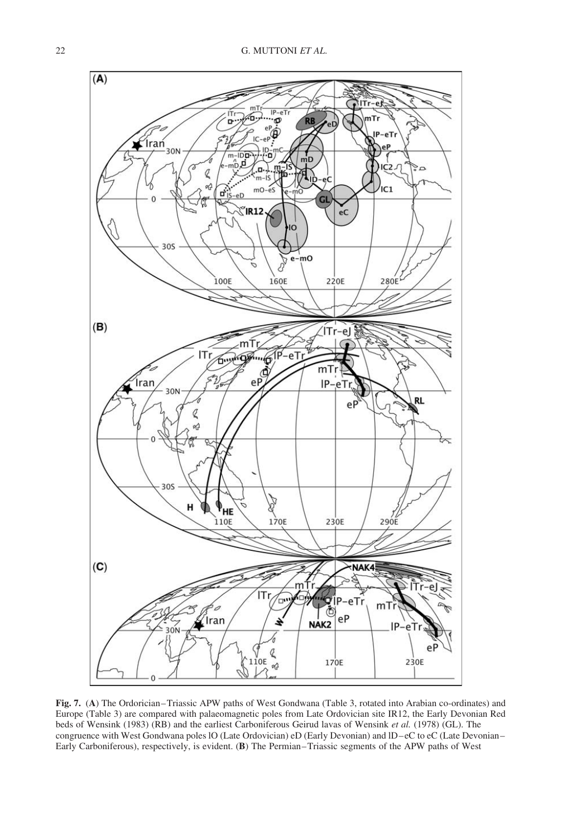

Fig. 7. (A) The Ordorician–Triassic APW paths of West Gondwana (Table 3, rotated into Arabian co-ordinates) and Europe (Table 3) are compared with palaeomagnetic poles from Late Ordovician site IR12, the Early Devonian Red beds of Wensink (1983) (RB) and the earliest Carboniferous Geirud lavas of Wensink et al. (1978) (GL). The congruence with West Gondwana poles lO (Late Ordovician) eD (Early Devonian) and lD–eC to eC (Late Devonian– Early Carboniferous), respectively, is evident. (B) The Permian–Triassic segments of the APW paths of West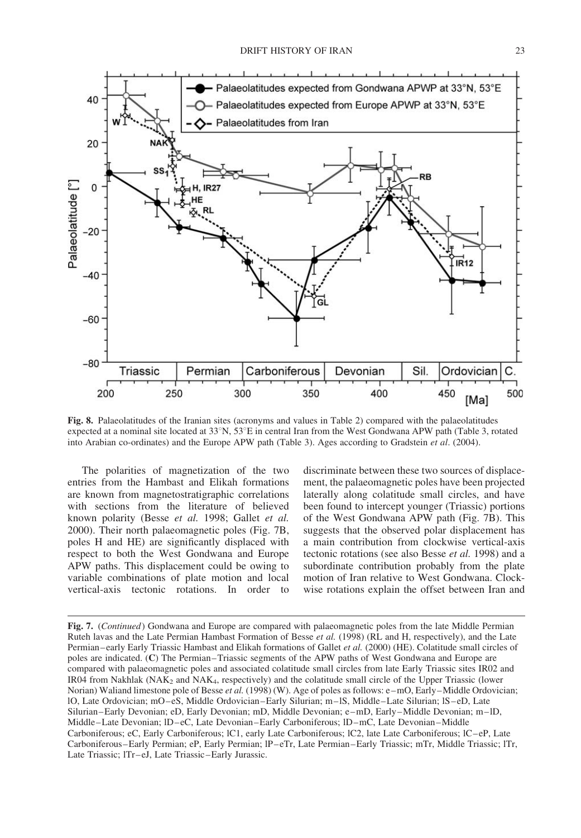

Fig. 8. Palaeolatitudes of the Iranian sites (acronyms and values in Table 2) compared with the palaeolatitudes expected at a nominal site located at  $33^\circ$ N,  $53^\circ$ E in central Iran from the West Gondwana APW path (Table 3, rotated into Arabian co-ordinates) and the Europe APW path (Table 3). Ages according to Gradstein et al. (2004).

The polarities of magnetization of the two entries from the Hambast and Elikah formations are known from magnetostratigraphic correlations with sections from the literature of believed known polarity (Besse et al. 1998; Gallet et al. 2000). Their north palaeomagnetic poles (Fig. 7B, poles H and HE) are significantly displaced with respect to both the West Gondwana and Europe APW paths. This displacement could be owing to variable combinations of plate motion and local vertical-axis tectonic rotations. In order to discriminate between these two sources of displacement, the palaeomagnetic poles have been projected laterally along colatitude small circles, and have been found to intercept younger (Triassic) portions of the West Gondwana APW path (Fig. 7B). This suggests that the observed polar displacement has a main contribution from clockwise vertical-axis tectonic rotations (see also Besse et al. 1998) and a subordinate contribution probably from the plate motion of Iran relative to West Gondwana. Clockwise rotations explain the offset between Iran and

Fig. 7. (Continued) Gondwana and Europe are compared with palaeomagnetic poles from the late Middle Permian Ruteh lavas and the Late Permian Hambast Formation of Besse *et al.* (1998) (RL and H, respectively), and the Late Permian–early Early Triassic Hambast and Elikah formations of Gallet et al. (2000) (HE). Colatitude small circles of poles are indicated. (C) The Permian–Triassic segments of the APW paths of West Gondwana and Europe are compared with palaeomagnetic poles and associated colatitude small circles from late Early Triassic sites IR02 and IR04 from Nakhlak (NA $K_2$  and NA $K_4$ , respectively) and the colatitude small circle of the Upper Triassic (lower Norian) Waliand limestone pole of Besse *et al.* (1998) (W). Age of poles as follows: e–mO, Early–Middle Ordovician; lO, Late Ordovician; mO–eS, Middle Ordovician–Early Silurian; m–lS, Middle–Late Silurian; lS–eD, Late Silurian–Early Devonian; eD, Early Devonian; mD, Middle Devonian; e–mD, Early–Middle Devonian; m–lD, Middle–Late Devonian; lD–eC, Late Devonian–Early Carboniferous; lD–mC, Late Devonian–Middle Carboniferous; eC, Early Carboniferous; lC1, early Late Carboniferous; lC2, late Late Carboniferous; lC–eP, Late Carboniferous–Early Permian; eP, Early Permian; lP–eTr, Late Permian–Early Triassic; mTr, Middle Triassic; lTr, Late Triassic; lTr–eJ, Late Triassic–Early Jurassic.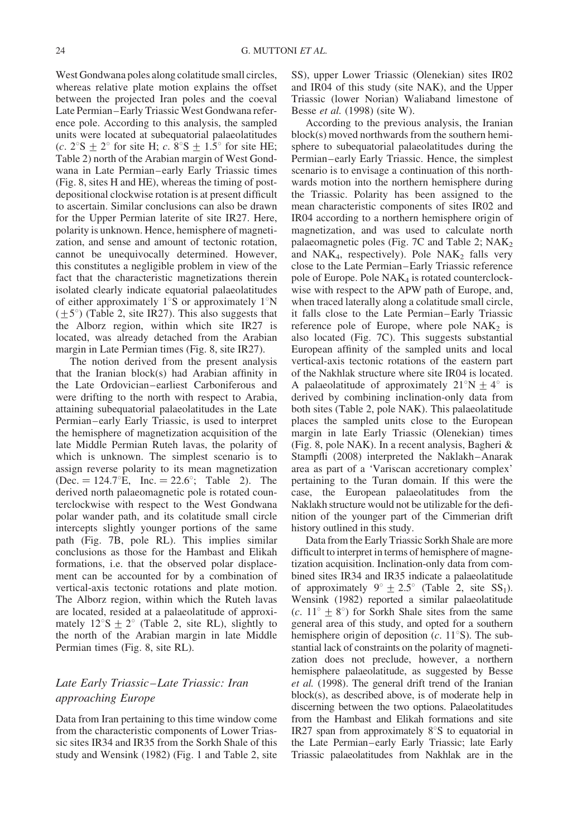West Gondwana poles along colatitude small circles, whereas relative plate motion explains the offset between the projected Iran poles and the coeval Late Permian–Early Triassic West Gondwana reference pole. According to this analysis, the sampled units were located at subequatorial palaeolatitudes (c.  $2^{\circ}$ S  $\pm$  2° for site H; c.  $8^{\circ}$ S  $\pm$  1.5° for site HE; Table 2) north of the Arabian margin of West Gondwana in Late Permian–early Early Triassic times (Fig. 8, sites H and HE), whereas the timing of postdepositional clockwise rotation is at present difficult to ascertain. Similar conclusions can also be drawn for the Upper Permian laterite of site IR27. Here, polarity is unknown. Hence, hemisphere of magnetization, and sense and amount of tectonic rotation, cannot be unequivocally determined. However, this constitutes a negligible problem in view of the fact that the characteristic magnetizations therein isolated clearly indicate equatorial palaeolatitudes of either approximately  $1^{\circ}$ S or approximately  $1^{\circ}$ N  $(\pm 5^{\circ})$  (Table 2, site IR27). This also suggests that the Alborz region, within which site IR27 is located, was already detached from the Arabian margin in Late Permian times (Fig. 8, site IR27).

The notion derived from the present analysis that the Iranian block(s) had Arabian affinity in the Late Ordovician–earliest Carboniferous and were drifting to the north with respect to Arabia, attaining subequatorial palaeolatitudes in the Late Permian–early Early Triassic, is used to interpret the hemisphere of magnetization acquisition of the late Middle Permian Ruteh lavas, the polarity of which is unknown. The simplest scenario is to assign reverse polarity to its mean magnetization (Dec.  $= 124.7^{\circ}E$ , Inc.  $= 22.6^{\circ}$ ; Table 2). The derived north palaeomagnetic pole is rotated counterclockwise with respect to the West Gondwana polar wander path, and its colatitude small circle intercepts slightly younger portions of the same path (Fig. 7B, pole RL). This implies similar conclusions as those for the Hambast and Elikah formations, i.e. that the observed polar displacement can be accounted for by a combination of vertical-axis tectonic rotations and plate motion. The Alborz region, within which the Ruteh lavas are located, resided at a palaeolatitude of approximately  $12^{\circ}S \pm 2^{\circ}$  (Table 2, site RL), slightly to the north of the Arabian margin in late Middle Permian times (Fig. 8, site RL).

# Late Early Triassic–Late Triassic: Iran approaching Europe

Data from Iran pertaining to this time window come from the characteristic components of Lower Triassic sites IR34 and IR35 from the Sorkh Shale of this study and Wensink (1982) (Fig. 1 and Table 2, site

SS), upper Lower Triassic (Olenekian) sites IR02 and IR04 of this study (site NAK), and the Upper Triassic (lower Norian) Waliaband limestone of Besse et al. (1998) (site W).

According to the previous analysis, the Iranian block(s) moved northwards from the southern hemisphere to subequatorial palaeolatitudes during the Permian–early Early Triassic. Hence, the simplest scenario is to envisage a continuation of this northwards motion into the northern hemisphere during the Triassic. Polarity has been assigned to the mean characteristic components of sites IR02 and IR04 according to a northern hemisphere origin of magnetization, and was used to calculate north palaeomagnetic poles (Fig.  $7C$  and Table 2; NAK<sub>2</sub> and  $NAK<sub>4</sub>$ , respectively). Pole  $NAK<sub>2</sub>$  falls very close to the Late Permian–Early Triassic reference pole of Europe. Pole  $NAK_4$  is rotated counterclockwise with respect to the APW path of Europe, and, when traced laterally along a colatitude small circle, it falls close to the Late Permian–Early Triassic reference pole of Europe, where pole  $NAK<sub>2</sub>$  is also located (Fig. 7C). This suggests substantial European affinity of the sampled units and local vertical-axis tectonic rotations of the eastern part of the Nakhlak structure where site IR04 is located. A palaeolatitude of approximately  $21^{\circ}N + 4^{\circ}$  is derived by combining inclination-only data from both sites (Table 2, pole NAK). This palaeolatitude places the sampled units close to the European margin in late Early Triassic (Olenekian) times (Fig. 8, pole NAK). In a recent analysis, Bagheri & Stampfli (2008) interpreted the Naklakh–Anarak area as part of a 'Variscan accretionary complex' pertaining to the Turan domain. If this were the case, the European palaeolatitudes from the Naklakh structure would not be utilizable for the definition of the younger part of the Cimmerian drift history outlined in this study.

Data from the Early Triassic Sorkh Shale are more difficult to interpret in terms of hemisphere of magnetization acquisition. Inclination-only data from combined sites IR34 and IR35 indicate a palaeolatitude of approximately  $9^{\circ} \pm 2.5^{\circ}$  (Table 2, site SS<sub>1</sub>). Wensink (1982) reported a similar palaeolatitude (c.  $11^{\circ} \pm 8^{\circ}$ ) for Sorkh Shale sites from the same general area of this study, and opted for a southern hemisphere origin of deposition  $(c. 11^{\circ}S)$ . The substantial lack of constraints on the polarity of magnetization does not preclude, however, a northern hemisphere palaeolatitude, as suggested by Besse et al. (1998). The general drift trend of the Iranian block(s), as described above, is of moderate help in discerning between the two options. Palaeolatitudes from the Hambast and Elikah formations and site IR27 span from approximately  $8^{\circ}$ S to equatorial in the Late Permian–early Early Triassic; late Early Triassic palaeolatitudes from Nakhlak are in the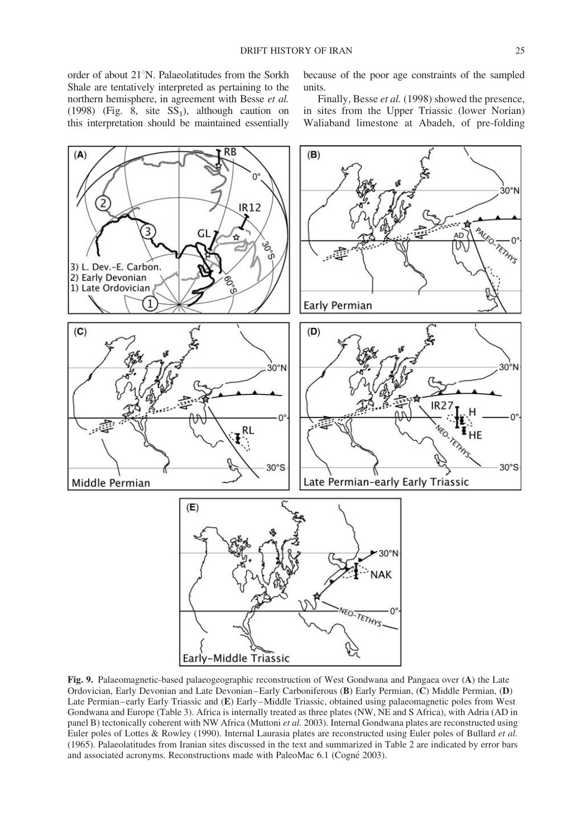order of about 21°N. Palaeolatitudes from the Sorkh Shale are tentatively interpreted as pertaining to the northern hemisphere, in agreement with Besse et al. (1998) (Fig.  $\overline{8}$ , site  $SS_1$ ), although caution on this interpretation should be maintained essentially because of the poor age constraints of the sampled units.

Finally, Besse et al. (1998) showed the presence, in sites from the Upper Triassic (lower Norian) Waliaband limestone at Abadeh, of pre-folding



Fig. 9. Palaeomagnetic-based palaeogeographic reconstruction of West Gondwana and Pangaea over (A) the Late Ordovician, Early Devonian and Late Devonian–Early Carboniferous (B) Early Permian, (C) Middle Permian, (D) Late Permian–early Early Triassic and (E) Early–Middle Triassic, obtained using palaeomagnetic poles from West Gondwana and Europe (Table 3). Africa is internally treated as three plates (NW, NE and S Africa), with Adria (AD in panel B) tectonically coherent with NW Africa (Muttoni et al. 2003). Internal Gondwana plates are reconstructed using Euler poles of Lottes & Rowley (1990). Internal Laurasia plates are reconstructed using Euler poles of Bullard et al. (1965). Palaeolatitudes from Iranian sites discussed in the text and summarized in Table 2 are indicated by error bars and associated acronyms. Reconstructions made with PaleoMac 6.1 (Cogné 2003).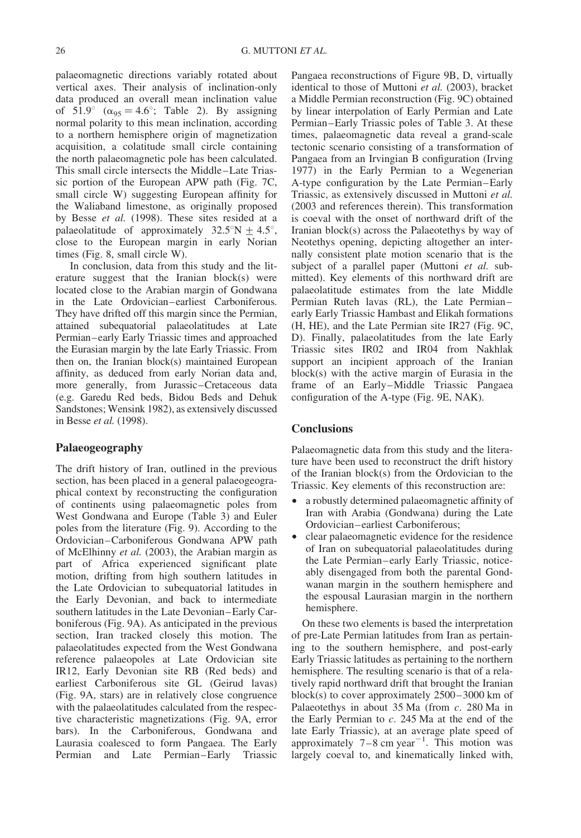palaeomagnetic directions variably rotated about vertical axes. Their analysis of inclination-only data produced an overall mean inclination value of  $51.9^\circ$  ( $\alpha_{95} = 4.6^\circ$ ; Table 2). By assigning normal polarity to this mean inclination, according to a northern hemisphere origin of magnetization acquisition, a colatitude small circle containing the north palaeomagnetic pole has been calculated. This small circle intersects the Middle–Late Triassic portion of the European APW path (Fig. 7C, small circle W) suggesting European affinity for the Waliaband limestone, as originally proposed by Besse et al. (1998). These sites resided at a palaeolatitude of approximately  $32.5^{\circ}N \pm 4.5^{\circ}$ , close to the European margin in early Norian times (Fig. 8, small circle W).

In conclusion, data from this study and the literature suggest that the Iranian block(s) were located close to the Arabian margin of Gondwana in the Late Ordovician–earliest Carboniferous. They have drifted off this margin since the Permian, attained subequatorial palaeolatitudes at Late Permian–early Early Triassic times and approached the Eurasian margin by the late Early Triassic. From then on, the Iranian block(s) maintained European affinity, as deduced from early Norian data and, more generally, from Jurassic–Cretaceous data (e.g. Garedu Red beds, Bidou Beds and Dehuk Sandstones; Wensink 1982), as extensively discussed in Besse et al. (1998).

#### Palaeogeography

The drift history of Iran, outlined in the previous section, has been placed in a general palaeogeographical context by reconstructing the configuration of continents using palaeomagnetic poles from West Gondwana and Europe (Table 3) and Euler poles from the literature (Fig. 9). According to the Ordovician–Carboniferous Gondwana APW path of McElhinny et al. (2003), the Arabian margin as part of Africa experienced significant plate motion, drifting from high southern latitudes in the Late Ordovician to subequatorial latitudes in the Early Devonian, and back to intermediate southern latitudes in the Late Devonian–Early Carboniferous (Fig. 9A). As anticipated in the previous section, Iran tracked closely this motion. The palaeolatitudes expected from the West Gondwana reference palaeopoles at Late Ordovician site IR12, Early Devonian site RB (Red beds) and earliest Carboniferous site GL (Geirud lavas) (Fig. 9A, stars) are in relatively close congruence with the palaeolatitudes calculated from the respective characteristic magnetizations (Fig. 9A, error bars). In the Carboniferous, Gondwana and Laurasia coalesced to form Pangaea. The Early Permian and Late Permian–Early Triassic

Pangaea reconstructions of Figure 9B, D, virtually identical to those of Muttoni et al. (2003), bracket a Middle Permian reconstruction (Fig. 9C) obtained by linear interpolation of Early Permian and Late Permian–Early Triassic poles of Table 3. At these times, palaeomagnetic data reveal a grand-scale tectonic scenario consisting of a transformation of Pangaea from an Irvingian B configuration (Irving 1977) in the Early Permian to a Wegenerian A-type configuration by the Late Permian–Early Triassic, as extensively discussed in Muttoni et al. (2003 and references therein). This transformation is coeval with the onset of northward drift of the Iranian block(s) across the Palaeotethys by way of Neotethys opening, depicting altogether an internally consistent plate motion scenario that is the subject of a parallel paper (Muttoni et al. submitted). Key elements of this northward drift are palaeolatitude estimates from the late Middle Permian Ruteh lavas (RL), the Late Permian– early Early Triassic Hambast and Elikah formations (H, HE), and the Late Permian site IR27 (Fig. 9C, D). Finally, palaeolatitudes from the late Early Triassic sites IR02 and IR04 from Nakhlak support an incipient approach of the Iranian block(s) with the active margin of Eurasia in the frame of an Early–Middle Triassic Pangaea configuration of the A-type (Fig. 9E, NAK).

#### **Conclusions**

Palaeomagnetic data from this study and the literature have been used to reconstruct the drift history of the Iranian block(s) from the Ordovician to the Triassic. Key elements of this reconstruction are:

- a robustly determined palaeomagnetic affinity of Iran with Arabia (Gondwana) during the Late Ordovician–earliest Carboniferous;
- † clear palaeomagnetic evidence for the residence of Iran on subequatorial palaeolatitudes during the Late Permian–early Early Triassic, noticeably disengaged from both the parental Gondwanan margin in the southern hemisphere and the espousal Laurasian margin in the northern hemisphere.

On these two elements is based the interpretation of pre-Late Permian latitudes from Iran as pertaining to the southern hemisphere, and post-early Early Triassic latitudes as pertaining to the northern hemisphere. The resulting scenario is that of a relatively rapid northward drift that brought the Iranian block(s) to cover approximately 2500–3000 km of Palaeotethys in about 35 Ma (from c. 280 Ma in the Early Permian to c. 245 Ma at the end of the late Early Triassic), at an average plate speed of approximately  $7-8$  cm year<sup>-1</sup>. This motion was largely coeval to, and kinematically linked with,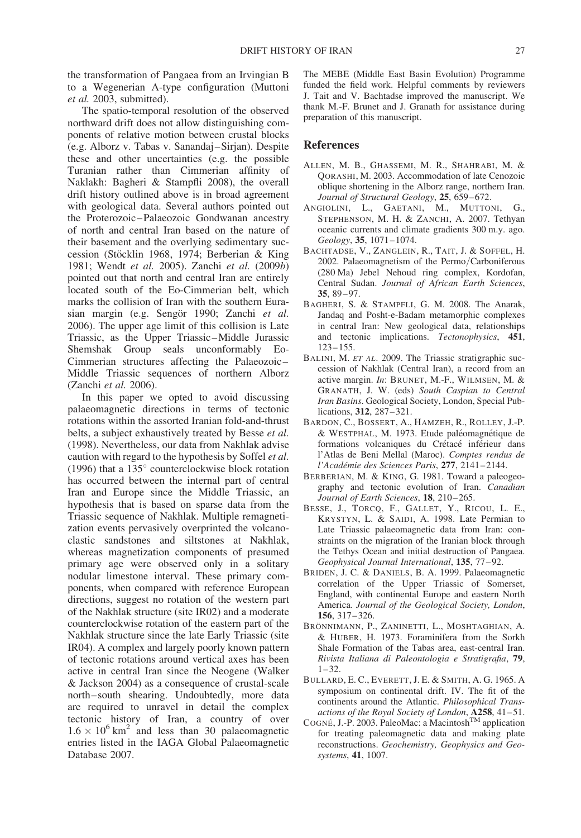the transformation of Pangaea from an Irvingian B to a Wegenerian A-type configuration (Muttoni et al. 2003, submitted).

The spatio-temporal resolution of the observed northward drift does not allow distinguishing components of relative motion between crustal blocks (e.g. Alborz v. Tabas v. Sanandaj–Sirjan). Despite these and other uncertainties (e.g. the possible Turanian rather than Cimmerian affinity of Naklakh: Bagheri & Stampfli 2008), the overall drift history outlined above is in broad agreement with geological data. Several authors pointed out the Proterozoic–Palaeozoic Gondwanan ancestry of north and central Iran based on the nature of their basement and the overlying sedimentary succession (Stöcklin 1968, 1974; Berberian & King 1981; Wendt et al. 2005). Zanchi et al. (2009b) pointed out that north and central Iran are entirely located south of the Eo-Cimmerian belt, which marks the collision of Iran with the southern Eurasian margin (e.g. Sengör 1990; Zanchi et al. 2006). The upper age limit of this collision is Late Triassic, as the Upper Triassic–Middle Jurassic Shemshak Group seals unconformably Eo-Cimmerian structures affecting the Palaeozoic– Middle Triassic sequences of northern Alborz (Zanchi et al. 2006).

In this paper we opted to avoid discussing palaeomagnetic directions in terms of tectonic rotations within the assorted Iranian fold-and-thrust belts, a subject exhaustively treated by Besse et al. (1998). Nevertheless, our data from Nakhlak advise caution with regard to the hypothesis by Soffel et al. (1996) that a  $135^{\circ}$  counterclockwise block rotation has occurred between the internal part of central Iran and Europe since the Middle Triassic, an hypothesis that is based on sparse data from the Triassic sequence of Nakhlak. Multiple remagnetization events pervasively overprinted the volcanoclastic sandstones and siltstones at Nakhlak, whereas magnetization components of presumed primary age were observed only in a solitary nodular limestone interval. These primary components, when compared with reference European directions, suggest no rotation of the western part of the Nakhlak structure (site IR02) and a moderate counterclockwise rotation of the eastern part of the Nakhlak structure since the late Early Triassic (site IR04). A complex and largely poorly known pattern of tectonic rotations around vertical axes has been active in central Iran since the Neogene (Walker & Jackson 2004) as a consequence of crustal-scale north–south shearing. Undoubtedly, more data are required to unravel in detail the complex tectonic history of Iran, a country of over  $1.6 \times 10^6$  km<sup>2</sup> and less than 30 palaeomagnetic entries listed in the IAGA Global Palaeomagnetic Database 2007.

The MEBE (Middle East Basin Evolution) Programme funded the field work. Helpful comments by reviewers J. Tait and V. Bachtadse improved the manuscript. We thank M.-F. Brunet and J. Granath for assistance during preparation of this manuscript.

#### References

- ALLEN, M. B., GHASSEMI, M. R., SHAHRABI, M. & QORASHI, M. 2003. Accommodation of late Cenozoic oblique shortening in the Alborz range, northern Iran. Journal of Structural Geology, 25, 659-672.
- ANGIOLINI, L., GAETANI, M., MUTTONI, G., STEPHENSON, M. H. & ZANCHI, A. 2007. Tethyan oceanic currents and climate gradients 300 m.y. ago. Geology, 35, 1071–1074.
- BACHTADSE, V., ZANGLEIN, R., TAIT, J. & SOFFEL, H. 2002. Palaeomagnetism of the Permo/Carboniferous (280 Ma) Jebel Nehoud ring complex, Kordofan, Central Sudan. Journal of African Earth Sciences, 35, 89–97.
- BAGHERI, S. & STAMPFLI, G. M. 2008. The Anarak, Jandaq and Posht-e-Badam metamorphic complexes in central Iran: New geological data, relationships and tectonic implications. Tectonophysics, 451, 123–155.
- BALINI, M. ET AL. 2009. The Triassic stratigraphic succession of Nakhlak (Central Iran), a record from an active margin. In: BRUNET, M.-F., WILMSEN, M. & GRANATH, J. W. (eds) South Caspian to Central Iran Basins. Geological Society, London, Special Publications, 312, 287–321.
- BARDON, C., BOSSERT, A., HAMZEH, R., ROLLEY, J.-P. & WESTPHAL, M. 1973. Etude paléomagnétique de formations volcaniques du Crétacé inférieur dans l'Atlas de Beni Mellal (Maroc). Comptes rendus de l'Académie des Sciences Paris, 277, 2141-2144.
- BERBERIAN, M. & KING, G. 1981. Toward a paleogeography and tectonic evolution of Iran. Canadian Journal of Earth Sciences, 18, 210–265.
- BESSE, J., TORCQ, F., GALLET, Y., RICOU, L. E., KRYSTYN, L. & SAIDI, A. 1998. Late Permian to Late Triassic palaeomagnetic data from Iran: constraints on the migration of the Iranian block through the Tethys Ocean and initial destruction of Pangaea. Geophysical Journal International, 135, 77–92.
- BRIDEN, J. C. & DANIELS, B. A. 1999. Palaeomagnetic correlation of the Upper Triassic of Somerset, England, with continental Europe and eastern North America. Journal of the Geological Society, London, 156, 317–326.
- BRÖNNIMANN, P., ZANINETTI, L., MOSHTAGHIAN, A. & HUBER, H. 1973. Foraminifera from the Sorkh Shale Formation of the Tabas area, east-central Iran. Rivista Italiana di Paleontologia e Stratigrafia, 79, 1–32.
- BULLARD, E. C., EVERETT, J. E. & SMITH, A. G. 1965. A symposium on continental drift. IV. The fit of the continents around the Atlantic. Philosophical Transactions of the Royal Society of London, A258, 41–51.
- COGNÉ, J.-P. 2003. PaleoMac: a Macintosh<sup>TM</sup> application for treating paleomagnetic data and making plate reconstructions. Geochemistry, Geophysics and Geosystems, 41, 1007.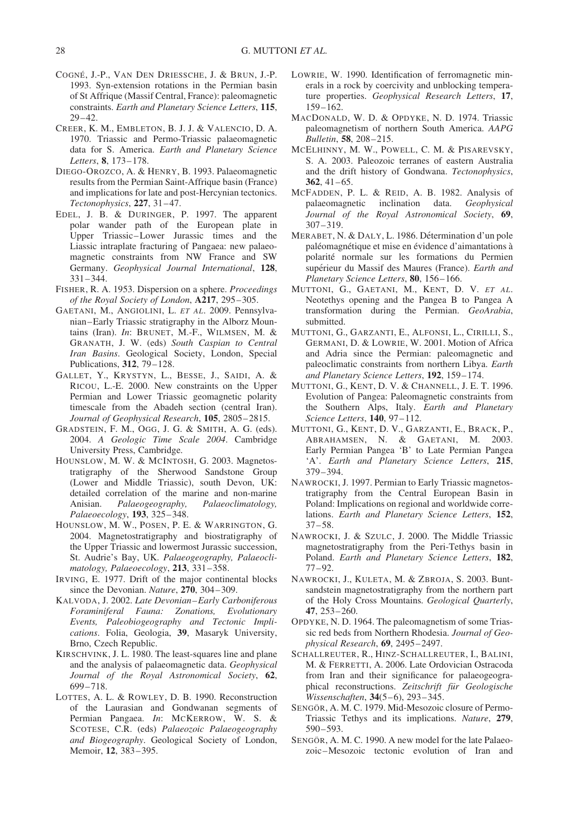- COGNÉ, J.-P., VAN DEN DRIESSCHE, J. & BRUN, J.-P. 1993. Syn-extension rotations in the Permian basin of St Affrique (Massif Central, France): paleomagnetic constraints. Earth and Planetary Science Letters, 115, 29–42.
- CREER, K. M., EMBLETON, B. J. J. & VALENCIO, D. A. 1970. Triassic and Permo-Triassic palaeomagnetic data for S. America. Earth and Planetary Science Letters, 8, 173–178.
- DIEGO-OROZCO, A. & HENRY, B. 1993. Palaeomagnetic results from the Permian Saint-Affrique basin (France) and implications for late and post-Hercynian tectonics. Tectonophysics, 227, 31–47.
- EDEL, J. B. & DURINGER, P. 1997. The apparent polar wander path of the European plate in Upper Triassic–Lower Jurassic times and the Liassic intraplate fracturing of Pangaea: new palaeomagnetic constraints from NW France and SW Germany. Geophysical Journal International, 128, 331–344.
- FISHER, R. A. 1953. Dispersion on a sphere. Proceedings of the Royal Society of London, A217, 295–305.
- GAETANI, M., ANGIOLINI, L. ET AL. 2009. Pennsylvanian–Early Triassic stratigraphy in the Alborz Mountains (Iran). In: BRUNET, M.-F., WILMSEN, M. & GRANATH, J. W. (eds) South Caspian to Central Iran Basins. Geological Society, London, Special Publications, 312, 79–128.
- GALLET, Y., KRYSTYN, L., BESSE, J., SAIDI, A. & RICOU, L.-E. 2000. New constraints on the Upper Permian and Lower Triassic geomagnetic polarity timescale from the Abadeh section (central Iran). Journal of Geophysical Research, 105, 2805–2815.
- GRADSTEIN, F. M., OGG, J. G. & SMITH, A. G. (eds). 2004. A Geologic Time Scale 2004. Cambridge University Press, Cambridge.
- HOUNSLOW, M. W. & MCINTOSH, G. 2003. Magnetostratigraphy of the Sherwood Sandstone Group (Lower and Middle Triassic), south Devon, UK: detailed correlation of the marine and non-marine Anisian. Palaeogeography, Palaeoclimatology, Palaeoecology, 193, 325–348.
- HOUNSLOW, M. W., POSEN, P. E. & WARRINGTON, G. 2004. Magnetostratigraphy and biostratigraphy of the Upper Triassic and lowermost Jurassic succession, St. Audrie's Bay, UK. Palaeogeography, Palaeoclimatology, Palaeoecology, 213, 331–358.
- IRVING, E. 1977. Drift of the major continental blocks since the Devonian. Nature, 270, 304-309.
- KALVODA, J. 2002. Late Devonian–Early Carboniferous Foraminiferal Fauna: Zonations, Evolutionary Events, Paleobiogeography and Tectonic Implications. Folia, Geologia, 39, Masaryk University, Brno, Czech Republic.
- KIRSCHVINK, J. L. 1980. The least-squares line and plane and the analysis of palaeomagnetic data. Geophysical Journal of the Royal Astronomical Society, 62, 699–718.
- LOTTES, A. L. & ROWLEY, D. B. 1990. Reconstruction of the Laurasian and Gondwanan segments of Permian Pangaea. In: MCKERROW, W. S. & SCOTESE, C.R. (eds) Palaeozoic Palaeogeography and Biogeography. Geological Society of London, Memoir, 12, 383–395.
- LOWRIE, W. 1990. Identification of ferromagnetic minerals in a rock by coercivity and unblocking temperature properties. Geophysical Research Letters, 17,  $159 - 162$ .
- MACDONALD, W. D. & OPDYKE, N. D. 1974. Triassic paleomagnetism of northern South America. AAPG Bulletin, 58, 208–215.
- MCELHINNY, M. W., POWELL, C. M. & PISAREVSKY, S. A. 2003. Paleozoic terranes of eastern Australia and the drift history of Gondwana. Tectonophysics,  $362, 41-65.$
- MCFADDEN, P. L. & REID, A. B. 1982. Analysis of palaeomagnetic inclination data. Geophysical Journal of the Royal Astronomical Society, 69, 307–319.
- MERABET, N. & DALY, L. 1986. Détermination d'un pole paléomagnétique et mise en évidence d'aimantations à polarite´ normale sur les formations du Permien supérieur du Massif des Maures (France). Earth and Planetary Science Letters, 80, 156–166.
- MUTTONI, G., GAETANI, M., KENT, D. V. ET AL. Neotethys opening and the Pangea B to Pangea A transformation during the Permian. GeoArabia, submitted.
- MUTTONI, G., GARZANTI, E., ALFONSI, L., CIRILLI, S., GERMANI, D. & LOWRIE, W. 2001. Motion of Africa and Adria since the Permian: paleomagnetic and paleoclimatic constraints from northern Libya. Earth and Planetary Science Letters, 192, 159–174.
- MUTTONI, G., KENT, D. V. & CHANNELL, J. E. T. 1996. Evolution of Pangea: Paleomagnetic constraints from the Southern Alps, Italy. Earth and Planetary Science Letters, 140, 97–112.
- MUTTONI, G., KENT, D. V., GARZANTI, E., BRACK, P., ABRAHAMSEN, N. & GAETANI, M. 2003. Early Permian Pangea 'B' to Late Permian Pangea 'A'. Earth and Planetary Science Letters, 215, 379–394.
- NAWROCKI, J. 1997. Permian to Early Triassic magnetostratigraphy from the Central European Basin in Poland: Implications on regional and worldwide correlations. Earth and Planetary Science Letters, 152, 37–58.
- NAWROCKI, J. & SZULC, J. 2000. The Middle Triassic magnetostratigraphy from the Peri-Tethys basin in Poland. Earth and Planetary Science Letters, 182, 77–92.
- NAWROCKI, J., KULETA, M. & ZBROJA, S. 2003. Buntsandstein magnetostratigraphy from the northern part of the Holy Cross Mountains. Geological Quarterly, 47, 253–260.
- OPDYKE, N. D. 1964. The paleomagnetism of some Triassic red beds from Northern Rhodesia. Journal of Geophysical Research, 69, 2495–2497.
- SCHALLREUTER, R., HINZ-SCHALLREUTER, I., BALINI, M. & FERRETTI, A. 2006. Late Ordovician Ostracoda from Iran and their significance for palaeogeographical reconstructions. Zeitschrift für Geologische Wissenschaften, 34(5–6), 293–345.
- SENGÖR, A. M. C. 1979. Mid-Mesozoic closure of Permo-Triassic Tethys and its implications. Nature, 279, 590–593.
- SENGÖR, A. M. C. 1990. A new model for the late Palaeozoic–Mesozoic tectonic evolution of Iran and